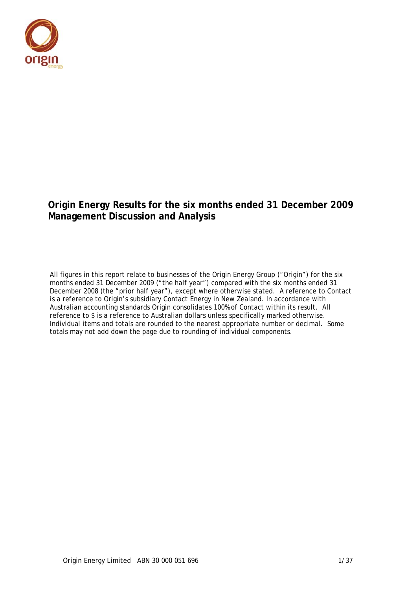

## **Origin Energy Results for the six months ended 31 December 2009 Management Discussion and Analysis**

All figures in this report relate to businesses of the Origin Energy Group ("Origin") for the six months ended 31 December 2009 ("the half year") compared with the six months ended 31 December 2008 (the "prior half year"), except where otherwise stated. A reference to Contact is a reference to Origin's subsidiary Contact Energy in New Zealand. In accordance with Australian accounting standards Origin consolidates 100% of Contact within its result. All reference to \$ is a reference to Australian dollars unless specifically marked otherwise. Individual items and totals are rounded to the nearest appropriate number or decimal. Some totals may not add down the page due to rounding of individual components.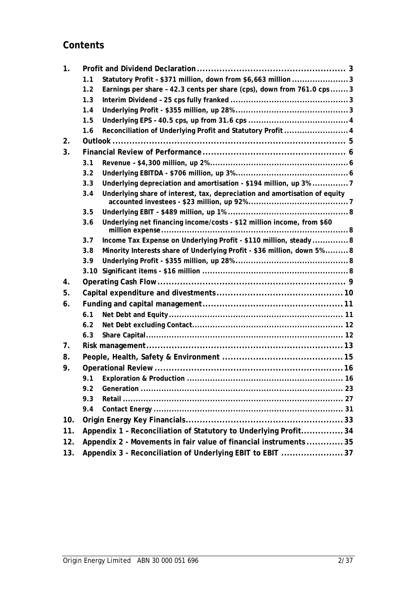## **Contents**

| $\mathbf{1}$ . |     |                                                                            |
|----------------|-----|----------------------------------------------------------------------------|
|                | 1.1 | Statutory Profit - \$371 million, down from \$6,663 million 3              |
|                | 1.2 | Earnings per share - 42.3 cents per share (cps), down from 761.0 cps  3    |
|                | 1.3 |                                                                            |
|                | 1.4 |                                                                            |
|                | 1.5 |                                                                            |
|                | 1.6 | Reconciliation of Underlying Profit and Statutory Profit  4                |
| 2.             |     |                                                                            |
| 3.             |     |                                                                            |
|                | 3.1 |                                                                            |
|                | 3.2 |                                                                            |
|                | 3.3 | Underlying depreciation and amortisation - \$194 million, up 3% 7          |
|                | 3.4 | Underlying share of interest, tax, depreciation and amortisation of equity |
|                | 3.5 |                                                                            |
|                | 3.6 | Underlying net financing income/costs - \$12 million income, from \$60     |
|                | 3.7 | Income Tax Expense on Underlying Profit - \$110 million, steady  8         |
|                | 3.8 | Minority Interests share of Underlying Profit - \$36 million, down 5% 8    |
|                | 3.9 |                                                                            |
|                |     |                                                                            |
| 4.             |     |                                                                            |
| 5.             |     |                                                                            |
| 6.             |     |                                                                            |
|                | 6.1 |                                                                            |
|                | 6.2 |                                                                            |
|                | 6.3 |                                                                            |
| 7 <sub>1</sub> |     |                                                                            |
| 8.             |     |                                                                            |
| 9.             |     |                                                                            |
|                | 9.1 |                                                                            |
|                | 9.2 |                                                                            |
|                | 9.3 |                                                                            |
|                | 9.4 |                                                                            |
| 10.            |     |                                                                            |
| 11.            |     | Appendix 1 - Reconciliation of Statutory to Underlying Profit34            |
| 12.            |     |                                                                            |
|                |     | Appendix 2 - Movements in fair value of financial instruments 35           |
| 13.            |     | Appendix 3 - Reconciliation of Underlying EBIT to EBIT 37                  |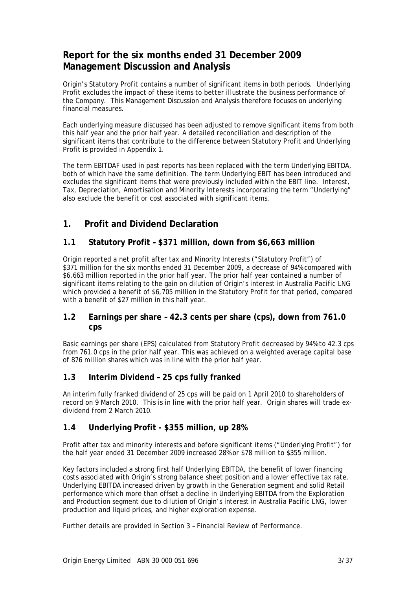## **Report for the six months ended 31 December 2009 Management Discussion and Analysis**

Origin's Statutory Profit contains a number of significant items in both periods. Underlying Profit excludes the impact of these items to better illustrate the business performance of the Company. This Management Discussion and Analysis therefore focuses on underlying financial measures.

Each underlying measure discussed has been adjusted to remove significant items from both this half year and the prior half year. A detailed reconciliation and description of the significant items that contribute to the difference between Statutory Profit and Underlying Profit is provided in Appendix 1.

The term EBITDAF used in past reports has been replaced with the term Underlying EBITDA, both of which have the same definition. The term Underlying EBIT has been introduced and excludes the significant items that were previously included within the EBIT line. Interest, Tax, Depreciation, Amortisation and Minority Interests incorporating the term "Underlying" also exclude the benefit or cost associated with significant items.

## **1. Profit and Dividend Declaration**

## **1.1 Statutory Profit – \$371 million, down from \$6,663 million**

Origin reported a net profit after tax and Minority Interests ("Statutory Profit") of \$371 million for the six months ended 31 December 2009, a decrease of 94% compared with \$6,663 million reported in the prior half year. The prior half year contained a number of significant items relating to the gain on dilution of Origin's interest in Australia Pacific LNG which provided a benefit of \$6,705 million in the Statutory Profit for that period, compared with a benefit of \$27 million in this half year.

### **1.2 Earnings per share – 42.3 cents per share (cps), down from 761.0 cps**

Basic earnings per share (EPS) calculated from Statutory Profit decreased by 94% to 42.3 cps from 761.0 cps in the prior half year. This was achieved on a weighted average capital base of 876 million shares which was in line with the prior half year.

### **1.3 Interim Dividend – 25 cps fully franked**

An interim fully franked dividend of 25 cps will be paid on 1 April 2010 to shareholders of record on 9 March 2010. This is in line with the prior half year. Origin shares will trade exdividend from 2 March 2010.

## **1.4 Underlying Profit - \$355 million, up 28%**

Profit after tax and minority interests and before significant items ("Underlying Profit") for the half year ended 31 December 2009 increased 28% or \$78 million to \$355 million.

Key factors included a strong first half Underlying EBITDA, the benefit of lower financing costs associated with Origin's strong balance sheet position and a lower effective tax rate. Underlying EBITDA increased driven by growth in the Generation segment and solid Retail performance which more than offset a decline in Underlying EBITDA from the Exploration and Production segment due to dilution of Origin's interest in Australia Pacific LNG, lower production and liquid prices, and higher exploration expense.

Further details are provided in Section 3 – Financial Review of Performance.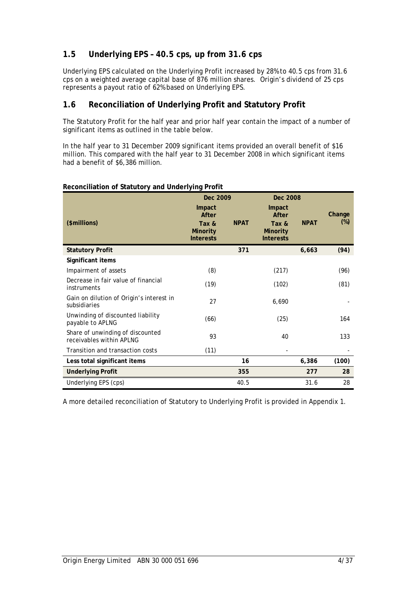## **1.5 Underlying EPS – 40.5 cps, up from 31.6 cps**

Underlying EPS calculated on the Underlying Profit increased by 28% to 40.5 cps from 31.6 cps on a weighted average capital base of 876 million shares. Origin's dividend of 25 cps represents a payout ratio of 62% based on Underlying EPS.

## **1.6 Reconciliation of Underlying Profit and Statutory Profit**

The Statutory Profit for the half year and prior half year contain the impact of a number of significant items as outlined in the table below.

In the half year to 31 December 2009 significant items provided an overall benefit of \$16 million. This compared with the half year to 31 December 2008 in which significant items had a benefit of \$6,386 million.

|                                                              | Dec 2009                                                        |             | Dec 2008                                                        |             |                  |
|--------------------------------------------------------------|-----------------------------------------------------------------|-------------|-----------------------------------------------------------------|-------------|------------------|
| (\$millions)                                                 | Impact<br>After<br>Tax &<br><b>Minority</b><br><b>Interests</b> | <b>NPAT</b> | Impact<br>After<br>Tax &<br><b>Minority</b><br><b>Interests</b> | <b>NPAT</b> | Change<br>$(\%)$ |
| <b>Statutory Profit</b>                                      |                                                                 | 371         |                                                                 | 6,663       | (94)             |
| Significant items                                            |                                                                 |             |                                                                 |             |                  |
| Impairment of assets                                         | (8)                                                             |             | (217)                                                           |             | (96)             |
| Decrease in fair value of financial<br>instruments           | (19)                                                            |             | (102)                                                           |             | (81)             |
| Gain on dilution of Origin's interest in<br>subsidiaries     | 27                                                              |             | 6,690                                                           |             |                  |
| Unwinding of discounted liability<br>payable to APLNG        | (66)                                                            |             | (25)                                                            |             | 164              |
| Share of unwinding of discounted<br>receivables within APLNG | 93                                                              |             | 40                                                              |             | 133              |
| Transition and transaction costs                             | (11)                                                            |             |                                                                 |             |                  |
| Less total significant items                                 |                                                                 | 16          |                                                                 | 6,386       | (100)            |
| <b>Underlying Profit</b>                                     |                                                                 | 355         |                                                                 | 277         | 28               |
| Underlying EPS (cps)                                         |                                                                 | 40.5        |                                                                 | 31.6        | 28               |

#### **Reconciliation of Statutory and Underlying Profit**

A more detailed reconciliation of Statutory to Underlying Profit is provided in Appendix 1.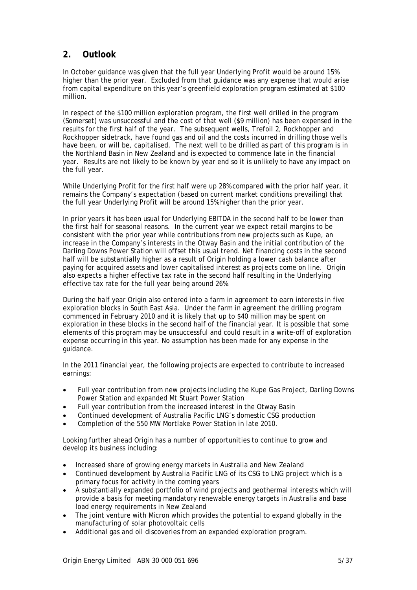## **2. Outlook**

In October guidance was given that the full year Underlying Profit would be around 15% higher than the prior year. Excluded from that guidance was any expense that would arise from capital expenditure on this year's greenfield exploration program estimated at \$100 million.

In respect of the \$100 million exploration program, the first well drilled in the program (Somerset) was unsuccessful and the cost of that well (\$9 million) has been expensed in the results for the first half of the year. The subsequent wells, Trefoil 2, Rockhopper and Rockhopper sidetrack, have found gas and oil and the costs incurred in drilling those wells have been, or will be, capitalised. The next well to be drilled as part of this program is in the Northland Basin in New Zealand and is expected to commence late in the financial year. Results are not likely to be known by year end so it is unlikely to have any impact on the full year.

While Underlying Profit for the first half were up 28% compared with the prior half year, it remains the Company's expectation (based on current market conditions prevailing) that the full year Underlying Profit will be around 15% higher than the prior year.

In prior years it has been usual for Underlying EBITDA in the second half to be lower than the first half for seasonal reasons. In the current year we expect retail margins to be consistent with the prior year while contributions from new projects such as Kupe, an increase in the Company's interests in the Otway Basin and the initial contribution of the Darling Downs Power Station will offset this usual trend. Net financing costs in the second half will be substantially higher as a result of Origin holding a lower cash balance after paying for acquired assets and lower capitalised interest as projects come on line. Origin also expects a higher effective tax rate in the second half resulting in the Underlying effective tax rate for the full year being around 26%.

During the half year Origin also entered into a farm in agreement to earn interests in five exploration blocks in South East Asia. Under the farm in agreement the drilling program commenced in February 2010 and it is likely that up to \$40 million may be spent on exploration in these blocks in the second half of the financial year. It is possible that some elements of this program may be unsuccessful and could result in a write-off of exploration expense occurring in this year. No assumption has been made for any expense in the guidance.

In the 2011 financial year, the following projects are expected to contribute to increased earnings:

- Full year contribution from new projects including the Kupe Gas Project, Darling Downs Power Station and expanded Mt Stuart Power Station
- Full year contribution from the increased interest in the Otway Basin
- Continued development of Australia Pacific LNG's domestic CSG production
- Completion of the 550 MW Mortlake Power Station in late 2010.

Looking further ahead Origin has a number of opportunities to continue to grow and develop its business including:

- Increased share of growing energy markets in Australia and New Zealand
- Continued development by Australia Pacific LNG of its CSG to LNG project which is a primary focus for activity in the coming years
- A substantially expanded portfolio of wind projects and geothermal interests which will provide a basis for meeting mandatory renewable energy targets in Australia and base load energy requirements in New Zealand
- The joint venture with Micron which provides the potential to expand globally in the manufacturing of solar photovoltaic cells
- Additional gas and oil discoveries from an expanded exploration program.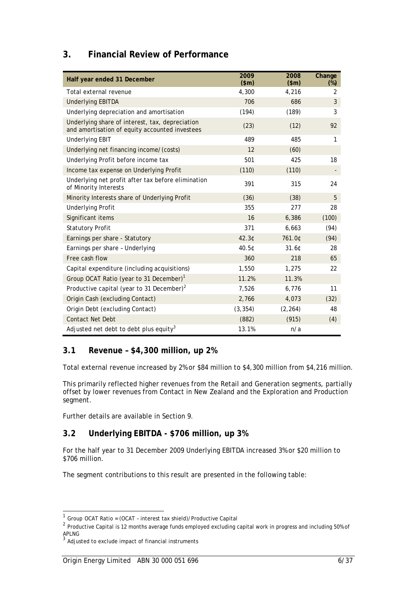## **3. Financial Review of Performance**

| Half year ended 31 December                                                                       | 2009<br>\$m\$ | 2008<br>\$m\$ | Change<br>$(\%)$ |
|---------------------------------------------------------------------------------------------------|---------------|---------------|------------------|
| Total external revenue                                                                            | 4,300         | 4,216         | 2                |
| <b>Underlying EBITDA</b>                                                                          | 706           | 686           | 3                |
| Underlying depreciation and amortisation                                                          | (194)         | (189)         | 3                |
| Underlying share of interest, tax, depreciation<br>and amortisation of equity accounted investees | (23)          | (12)          | 92               |
| <b>Underlying EBIT</b>                                                                            | 489           | 485           | 1                |
| Underlying net financing income/(costs)                                                           | 12            | (60)          |                  |
| Underlying Profit before income tax                                                               | 501           | 425           | 18               |
| Income tax expense on Underlying Profit                                                           | (110)         | (110)         |                  |
| Underlying net profit after tax before elimination<br>of Minority Interests                       | 391           | 315           | 24               |
| Minority Interests share of Underlying Profit                                                     | (36)          | (38)          | 5                |
| <b>Underlying Profit</b>                                                                          | 355           | 277           | 28               |
| Significant items                                                                                 | 16            | 6,386         | (100)            |
| <b>Statutory Profit</b>                                                                           | 371           | 6,663         | (94)             |
| Earnings per share - Statutory                                                                    | 42.3C         | 761.0¢        | (94)             |
| Earnings per share - Underlying                                                                   | 40.5¢         | 31.60         | 28               |
| Free cash flow                                                                                    | 360           | 218           | 65               |
| Capital expenditure (including acquisitions)                                                      | 1,550         | 1,275         | 22               |
| Group OCAT Ratio (year to 31 December) <sup>1</sup>                                               | 11.2%         | 11.3%         |                  |
| Productive capital (year to 31 December) <sup>2</sup>                                             | 7,526         | 6,776         | 11               |
| Origin Cash (excluding Contact)                                                                   | 2,766         | 4,073         | (32)             |
| Origin Debt (excluding Contact)                                                                   | (3, 354)      | (2, 264)      | 48               |
| <b>Contact Net Debt</b>                                                                           | (882)         | (915)         | (4)              |
| Adjusted net debt to debt plus equity <sup>3</sup>                                                | 13.1%         | n/a           |                  |

## **3.1 Revenue – \$4,300 million, up 2%**

Total external revenue increased by 2% or \$84 million to \$4,300 million from \$4,216 million.

This primarily reflected higher revenues from the Retail and Generation segments, partially offset by lower revenues from Contact in New Zealand and the Exploration and Production segment.

Further details are available in Section 9.

## **3.2 Underlying EBITDA - \$706 million, up 3%**

For the half year to 31 December 2009 Underlying EBITDA increased 3% or \$20 million to \$706 million.

The segment contributions to this result are presented in the following table:

l

 $1$  Group OCAT Ratio = (OCAT - interest tax shield)/Productive Capital

<sup>&</sup>lt;sup>2</sup> Productive Capital is 12 months average funds employed excluding capital work in progress and including 50% of APLNG

 $3$  Adjusted to exclude impact of financial instruments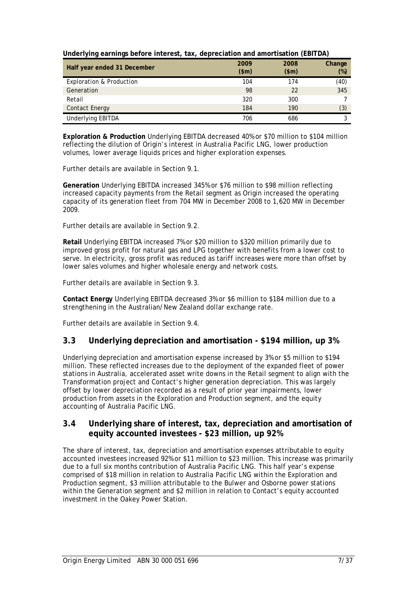| ັ<br>$\cdot$                        |       |       |        |
|-------------------------------------|-------|-------|--------|
| Half year ended 31 December         | 2009  | 2008  | Change |
|                                     | \$m\$ | \$m\$ | $(\%)$ |
| <b>Exploration &amp; Production</b> | 104   | 174   | (40)   |
| Generation                          | 98    | 22    | 345    |
| Retail                              | 320   | 300   |        |
| <b>Contact Energy</b>               | 184   | 190   | (3)    |
| Underlying EBITDA                   | 706   | 686   |        |

|  |  |  | Underlying earnings before interest, tax, depreciation and amortisation (EBITDA) |  |
|--|--|--|----------------------------------------------------------------------------------|--|
|  |  |  |                                                                                  |  |

**Exploration & Production** Underlying EBITDA decreased 40% or \$70 million to \$104 million reflecting the dilution of Origin's interest in Australia Pacific LNG, lower production volumes, lower average liquids prices and higher exploration expenses.

Further details are available in Section 9.1.

**Generation** Underlying EBITDA increased 345% or \$76 million to \$98 million reflecting increased capacity payments from the Retail segment as Origin increased the operating capacity of its generation fleet from 704 MW in December 2008 to 1,620 MW in December 2009.

Further details are available in Section 9.2.

**Retail** Underlying EBITDA increased 7% or \$20 million to \$320 million primarily due to improved gross profit for natural gas and LPG together with benefits from a lower cost to serve. In electricity, gross profit was reduced as tariff increases were more than offset by lower sales volumes and higher wholesale energy and network costs.

Further details are available in Section 9.3.

**Contact Energy** Underlying EBITDA decreased 3% or \$6 million to \$184 million due to a strengthening in the Australian/New Zealand dollar exchange rate.

Further details are available in Section 9.4.

### **3.3 Underlying depreciation and amortisation - \$194 million, up 3%**

Underlying depreciation and amortisation expense increased by 3% or \$5 million to \$194 million. These reflected increases due to the deployment of the expanded fleet of power stations in Australia, accelerated asset write downs in the Retail segment to align with the Transformation project and Contact's higher generation depreciation. This was largely offset by lower depreciation recorded as a result of prior year impairments, lower production from assets in the Exploration and Production segment, and the equity accounting of Australia Pacific LNG.

### **3.4 Underlying share of interest, tax, depreciation and amortisation of equity accounted investees - \$23 million, up 92%**

The share of interest, tax, depreciation and amortisation expenses attributable to equity accounted investees increased 92% or \$11 million to \$23 million. This increase was primarily due to a full six months contribution of Australia Pacific LNG. This half year's expense comprised of \$18 million in relation to Australia Pacific LNG within the Exploration and Production segment, \$3 million attributable to the Bulwer and Osborne power stations within the Generation segment and \$2 million in relation to Contact's equity accounted investment in the Oakey Power Station.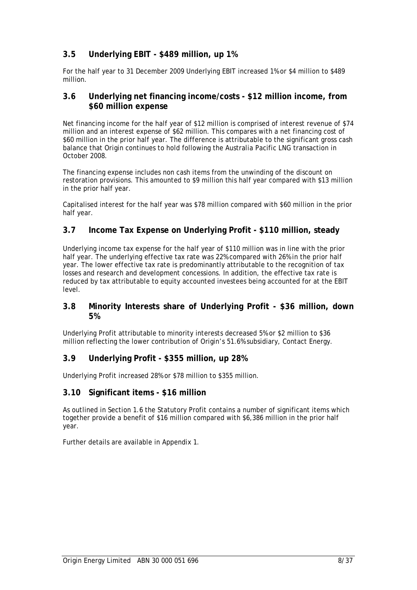## **3.5 Underlying EBIT - \$489 million, up 1%**

For the half year to 31 December 2009 Underlying EBIT increased 1% or \$4 million to \$489 million.

#### **3.6 Underlying net financing income/costs - \$12 million income, from \$60 million expense**

Net financing income for the half year of \$12 million is comprised of interest revenue of \$74 million and an interest expense of \$62 million. This compares with a net financing cost of \$60 million in the prior half year. The difference is attributable to the significant gross cash balance that Origin continues to hold following the Australia Pacific LNG transaction in October 2008.

The financing expense includes non cash items from the unwinding of the discount on restoration provisions. This amounted to \$9 million this half year compared with \$13 million in the prior half year.

Capitalised interest for the half year was \$78 million compared with \$60 million in the prior half year.

## **3.7 Income Tax Expense on Underlying Profit - \$110 million, steady**

Underlying income tax expense for the half year of \$110 million was in line with the prior half year. The underlying effective tax rate was 22% compared with 26% in the prior half year. The lower effective tax rate is predominantly attributable to the recognition of tax losses and research and development concessions. In addition, the effective tax rate is reduced by tax attributable to equity accounted investees being accounted for at the EBIT level.

### **3.8 Minority Interests share of Underlying Profit - \$36 million, down 5%**

Underlying Profit attributable to minority interests decreased 5% or \$2 million to \$36 million reflecting the lower contribution of Origin's 51.6% subsidiary, Contact Energy.

### **3.9 Underlying Profit - \$355 million, up 28%**

Underlying Profit increased 28% or \$78 million to \$355 million.

#### **3.10 Significant items - \$16 million**

As outlined in Section 1.6 the Statutory Profit contains a number of significant items which together provide a benefit of \$16 million compared with \$6,386 million in the prior half year.

Further details are available in Appendix 1.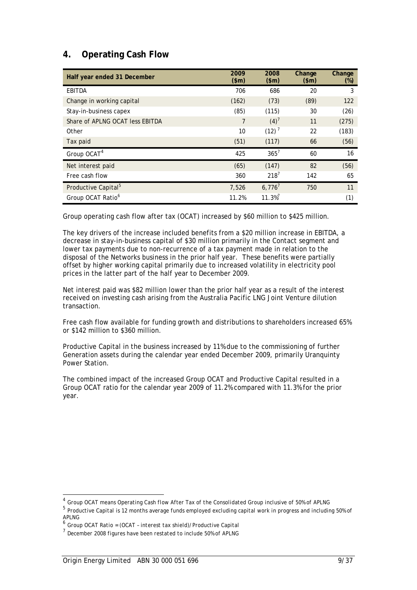## **4. Operating Cash Flow**

| Half year ended 31 December     | 2009<br>\$m\$  | 2008<br>\$m\$         | Change<br>\$m\$ | Change<br>$(\%)$ |
|---------------------------------|----------------|-----------------------|-----------------|------------------|
| EBITDA                          | 706            | 686                   | 20              | 3                |
| Change in working capital       | (162)          | (73)                  | (89)            | 122              |
| Stay-in-business capex          | (85)           | (115)                 | 30              | (26)             |
| Share of APLNG OCAT less EBITDA | $\overline{7}$ | $(4)^7$               | 11              | (275)            |
| Other                           | 10             | (12) <sup>7</sup>     | 22              | (183)            |
| Tax paid                        | (51)           | (117)                 | 66              | (56)             |
| Group OCAT <sup>4</sup>         | 425            | $365^7$               | 60              | 16               |
| Net interest paid               | (65)           | (147)                 | 82              | (56)             |
| Free cash flow                  | 360            | $218^{7}$             | 142             | 65               |
| Productive Capital <sup>5</sup> | 7,526          | $6,776^{7}$           | 750             | 11               |
| Group OCAT Ratio <sup>6</sup>   | 11.2%          | $11.3\%$ <sup>7</sup> |                 | (1)              |

Group operating cash flow after tax (OCAT) increased by \$60 million to \$425 million.

The key drivers of the increase included benefits from a \$20 million increase in EBITDA, a decrease in stay-in-business capital of \$30 million primarily in the Contact segment and lower tax payments due to non-recurrence of a tax payment made in relation to the disposal of the Networks business in the prior half year. These benefits were partially offset by higher working capital primarily due to increased volatility in electricity pool prices in the latter part of the half year to December 2009.

Net interest paid was \$82 million lower than the prior half year as a result of the interest received on investing cash arising from the Australia Pacific LNG Joint Venture dilution transaction.

Free cash flow available for funding growth and distributions to shareholders increased 65% or \$142 million to \$360 million.

Productive Capital in the business increased by 11% due to the commissioning of further Generation assets during the calendar year ended December 2009, primarily Uranquinty Power Station.

The combined impact of the increased Group OCAT and Productive Capital resulted in a Group OCAT ratio for the calendar year 2009 of 11.2% compared with 11.3% for the prior year.

l

<sup>4</sup> *Group OCAT means Operating Cash flow After Tax of the Consolidated Group inclusive of 50% of APLNG*

<sup>5</sup> *Productive Capital is 12 months average funds employed excluding capital work in progress and including 50% of APLNG*

<sup>6</sup> *Group OCAT Ratio = (OCAT – interest tax shield)/Productive Capital*

<sup>7</sup> *December 2008 figures have been restated to include 50% of APLNG*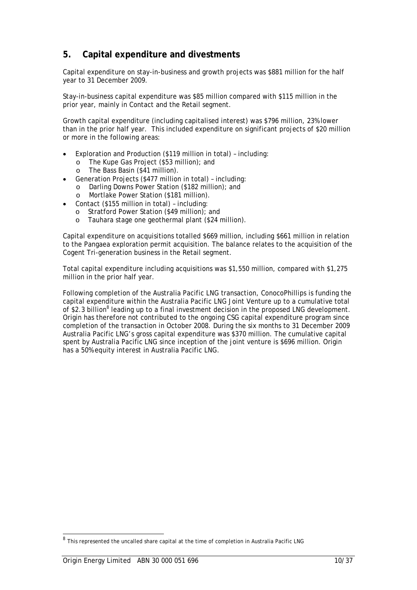## **5. Capital expenditure and divestments**

Capital expenditure on stay-in-business and growth projects was \$881 million for the half year to 31 December 2009.

Stay-in-business capital expenditure was \$85 million compared with \$115 million in the prior year, mainly in Contact and the Retail segment.

Growth capital expenditure (including capitalised interest) was \$796 million, 23% lower than in the prior half year. This included expenditure on significant projects of \$20 million or more in the following areas:

- Exploration and Production (\$119 million in total) including:
	- o The Kupe Gas Project (\$53 million); and
	- The Bass Basin (\$41 million).
- Generation Projects (\$477 million in total) including:
	- o Darling Downs Power Station (\$182 million); and
	- Mortlake Power Station (\$181 million).
- Contact (\$155 million in total) including:
	- o Stratford Power Station (\$49 million); and
	- o Tauhara stage one geothermal plant (\$24 million).

Capital expenditure on acquisitions totalled \$669 million, including \$661 million in relation to the Pangaea exploration permit acquisition. The balance relates to the acquisition of the Cogent Tri-generation business in the Retail segment.

Total capital expenditure including acquisitions was \$1,550 million, compared with \$1,275 million in the prior half year.

Following completion of the Australia Pacific LNG transaction, ConocoPhillips is funding the capital expenditure within the Australia Pacific LNG Joint Venture up to a cumulative total of \$2.3 billion<sup>8</sup> leading up to a final investment decision in the proposed LNG development. Origin has therefore not contributed to the ongoing CSG capital expenditure program since completion of the transaction in October 2008. During the six months to 31 December 2009 Australia Pacific LNG's gross capital expenditure was \$370 million. The cumulative capital spent by Australia Pacific LNG since inception of the joint venture is \$696 million. Origin has a 50% equity interest in Australia Pacific LNG.

l

<sup>&</sup>lt;sup>8</sup> This represented the uncalled share capital at the time of completion in Australia Pacific LNG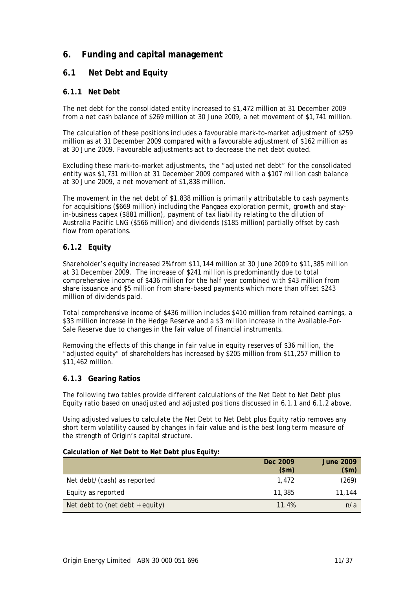## **6. Funding and capital management**

### **6.1 Net Debt and Equity**

#### **6.1.1 Net Debt**

The net debt for the consolidated entity increased to \$1,472 million at 31 December 2009 from a net cash balance of \$269 million at 30 June 2009, a net movement of \$1,741 million.

The calculation of these positions includes a favourable mark-to-market adjustment of \$259 million as at 31 December 2009 compared with a favourable adjustment of \$162 million as at 30 June 2009. Favourable adjustments act to decrease the net debt quoted.

Excluding these mark-to-market adjustments, the "adjusted net debt" for the consolidated entity was \$1,731 million at 31 December 2009 compared with a \$107 million cash balance at 30 June 2009, a net movement of \$1,838 million.

The movement in the net debt of \$1,838 million is primarily attributable to cash payments for acquisitions (\$669 million) including the Pangaea exploration permit, growth and stayin-business capex (\$881 million), payment of tax liability relating to the dilution of Australia Pacific LNG (\$566 million) and dividends (\$185 million) partially offset by cash flow from operations.

### **6.1.2 Equity**

Shareholder's equity increased 2% from \$11,144 million at 30 June 2009 to \$11,385 million at 31 December 2009. The increase of \$241 million is predominantly due to total comprehensive income of \$436 million for the half year combined with \$43 million from share issuance and \$5 million from share-based payments which more than offset \$243 million of dividends paid.

Total comprehensive income of \$436 million includes \$410 million from retained earnings, a \$33 million increase in the Hedge Reserve and a \$3 million increase in the Available-For-Sale Reserve due to changes in the fair value of financial instruments.

Removing the effects of this change in fair value in equity reserves of \$36 million, the "adjusted equity" of shareholders has increased by \$205 million from \$11,257 million to \$11,462 million.

#### **6.1.3 Gearing Ratios**

The following two tables provide different calculations of the Net Debt to Net Debt plus Equity ratio based on unadjusted and adjusted positions discussed in 6.1.1 and 6.1.2 above.

Using adjusted values to calculate the Net Debt to Net Debt plus Equity ratio removes any short term volatility caused by changes in fair value and is the best long term measure of the strength of Origin's capital structure.

#### **Calculation of Net Debt to Net Debt plus Equity:**

|                                   | Dec 2009 | <b>June 2009</b> |
|-----------------------------------|----------|------------------|
|                                   | \$m\$    | $(\$m)$          |
| Net debt/(cash) as reported       | 1.472    | (269)            |
| Equity as reported                | 11,385   | 11,144           |
| Net debt to (net debt $+$ equity) | 11.4%    | n/a              |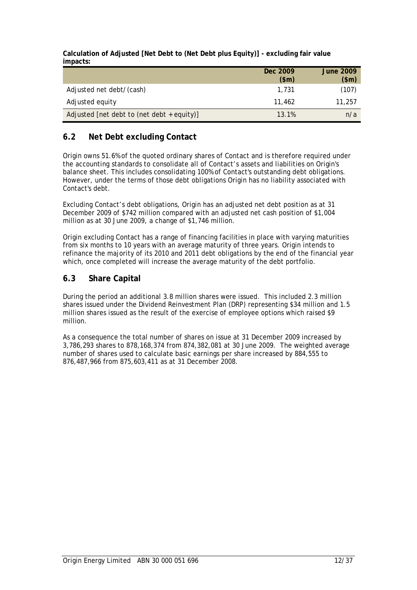**Calculation of Adjusted [Net Debt to (Net Debt plus Equity)] - excluding fair value impacts:** 

|                                              | Dec 2009<br>\$m\$ | <b>June 2009</b><br>\$m\$ |
|----------------------------------------------|-------------------|---------------------------|
| Adjusted net debt/(cash)                     | 1.731             | (107)                     |
| Adjusted equity                              | 11,462            | 11,257                    |
| Adjusted [net debt to (net debt $+$ equity)] | 13.1%             | n/a                       |

## **6.2 Net Debt excluding Contact**

Origin owns 51.6% of the quoted ordinary shares of Contact and is therefore required under the accounting standards to consolidate all of Contact's assets and liabilities on Origin's balance sheet. This includes consolidating 100% of Contact's outstanding debt obligations. However, under the terms of those debt obligations Origin has no liability associated with Contact's debt.

Excluding Contact's debt obligations, Origin has an adjusted net debt position as at 31 December 2009 of \$742 million compared with an adjusted net cash position of \$1,004 million as at 30 June 2009, a change of \$1,746 million.

Origin excluding Contact has a range of financing facilities in place with varying maturities from six months to 10 years with an average maturity of three years. Origin intends to refinance the majority of its 2010 and 2011 debt obligations by the end of the financial year which, once completed will increase the average maturity of the debt portfolio.

### **6.3 Share Capital**

During the period an additional 3.8 million shares were issued. This included 2.3 million shares issued under the Dividend Reinvestment Plan (DRP) representing \$34 million and 1.5 million shares issued as the result of the exercise of employee options which raised \$9 million.

As a consequence the total number of shares on issue at 31 December 2009 increased by 3,786,293 shares to 878,168,374 from 874,382,081 at 30 June 2009. The weighted average number of shares used to calculate basic earnings per share increased by 884,555 to 876,487,966 from 875,603,411 as at 31 December 2008.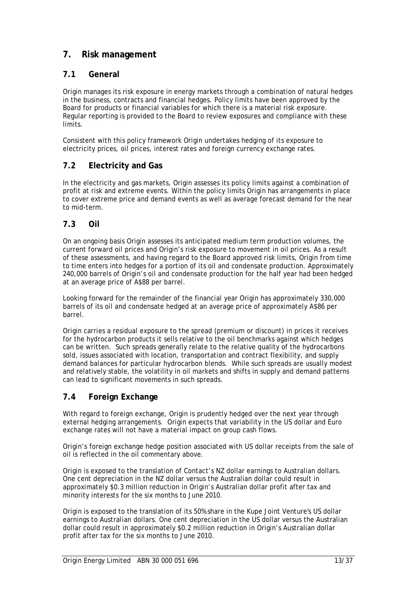## **7. Risk management**

## **7.1 General**

Origin manages its risk exposure in energy markets through a combination of natural hedges in the business, contracts and financial hedges. Policy limits have been approved by the Board for products or financial variables for which there is a material risk exposure. Regular reporting is provided to the Board to review exposures and compliance with these limits.

Consistent with this policy framework Origin undertakes hedging of its exposure to electricity prices, oil prices, interest rates and foreign currency exchange rates.

## **7.2 Electricity and Gas**

In the electricity and gas markets, Origin assesses its policy limits against a combination of profit at risk and extreme events. Within the policy limits Origin has arrangements in place to cover extreme price and demand events as well as average forecast demand for the near to mid-term.

### **7.3 Oil**

On an ongoing basis Origin assesses its anticipated medium term production volumes, the current forward oil prices and Origin's risk exposure to movement in oil prices. As a result of these assessments, and having regard to the Board approved risk limits, Origin from time to time enters into hedges for a portion of its oil and condensate production. Approximately 240,000 barrels of Origin's oil and condensate production for the half year had been hedged at an average price of A\$88 per barrel.

Looking forward for the remainder of the financial year Origin has approximately 330,000 barrels of its oil and condensate hedged at an average price of approximately A\$86 per barrel.

Origin carries a residual exposure to the spread (premium or discount) in prices it receives for the hydrocarbon products it sells relative to the oil benchmarks against which hedges can be written. Such spreads generally relate to the relative quality of the hydrocarbons sold, issues associated with location, transportation and contract flexibility, and supply demand balances for particular hydrocarbon blends. While such spreads are usually modest and relatively stable, the volatility in oil markets and shifts in supply and demand patterns can lead to significant movements in such spreads.

### **7.4 Foreign Exchange**

With regard to foreign exchange, Origin is prudently hedged over the next year through external hedging arrangements. Origin expects that variability in the US dollar and Euro exchange rates will not have a material impact on group cash flows.

Origin's foreign exchange hedge position associated with US dollar receipts from the sale of oil is reflected in the oil commentary above.

Origin is exposed to the translation of Contact's NZ dollar earnings to Australian dollars. One cent depreciation in the NZ dollar versus the Australian dollar could result in approximately \$0.3 million reduction in Origin's Australian dollar profit after tax and minority interests for the six months to June 2010.

Origin is exposed to the translation of its 50% share in the Kupe Joint Venture's US dollar earnings to Australian dollars. One cent depreciation in the US dollar versus the Australian dollar could result in approximately \$0.2 million reduction in Origin's Australian dollar profit after tax for the six months to June 2010.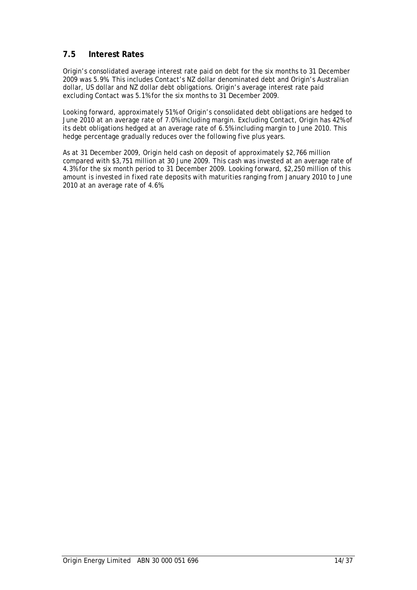## **7.5 Interest Rates**

Origin's consolidated average interest rate paid on debt for the six months to 31 December 2009 was 5.9%. This includes Contact's NZ dollar denominated debt and Origin's Australian dollar, US dollar and NZ dollar debt obligations. Origin's average interest rate paid excluding Contact was 5.1% for the six months to 31 December 2009.

Looking forward, approximately 51% of Origin's consolidated debt obligations are hedged to June 2010 at an average rate of 7.0% including margin. Excluding Contact, Origin has 42% of its debt obligations hedged at an average rate of 6.5% including margin to June 2010. This hedge percentage gradually reduces over the following five plus years.

As at 31 December 2009, Origin held cash on deposit of approximately \$2,766 million compared with \$3,751 million at 30 June 2009. This cash was invested at an average rate of 4.3% for the six month period to 31 December 2009. Looking forward, \$2,250 million of this amount is invested in fixed rate deposits with maturities ranging from January 2010 to June 2010 at an average rate of 4.6%.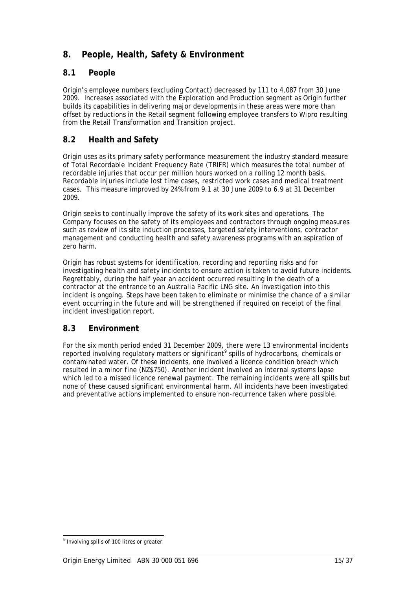## **8. People, Health, Safety & Environment**

## **8.1 People**

Origin's employee numbers (excluding Contact) decreased by 111 to 4,087 from 30 June 2009. Increases associated with the Exploration and Production segment as Origin further builds its capabilities in delivering major developments in these areas were more than offset by reductions in the Retail segment following employee transfers to Wipro resulting from the Retail Transformation and Transition project.

## **8.2 Health and Safety**

Origin uses as its primary safety performance measurement the industry standard measure of Total Recordable Incident Frequency Rate (TRIFR) which measures the total number of recordable injuries that occur per million hours worked on a rolling 12 month basis. Recordable injuries include lost time cases, restricted work cases and medical treatment cases. This measure improved by 24% from 9.1 at 30 June 2009 to 6.9 at 31 December 2009.

Origin seeks to continually improve the safety of its work sites and operations. The Company focuses on the safety of its employees and contractors through ongoing measures such as review of its site induction processes, targeted safety interventions, contractor management and conducting health and safety awareness programs with an aspiration of zero harm.

Origin has robust systems for identification, recording and reporting risks and for investigating health and safety incidents to ensure action is taken to avoid future incidents. Regrettably, during the half year an accident occurred resulting in the death of a contractor at the entrance to an Australia Pacific LNG site. An investigation into this incident is ongoing. Steps have been taken to eliminate or minimise the chance of a similar event occurring in the future and will be strengthened if required on receipt of the final incident investigation report.

## **8.3 Environment**

For the six month period ended 31 December 2009, there were 13 environmental incidents reported involving regulatory matters or significant<sup>9</sup> spills of hydrocarbons, chemicals or contaminated water. Of these incidents, one involved a licence condition breach which resulted in a minor fine (NZ\$750). Another incident involved an internal systems lapse which led to a missed licence renewal payment. The remaining incidents were all spills but none of these caused significant environmental harm. All incidents have been investigated and preventative actions implemented to ensure non-recurrence taken where possible.

l  $<sup>9</sup>$  Involving spills of 100 litres or greater</sup>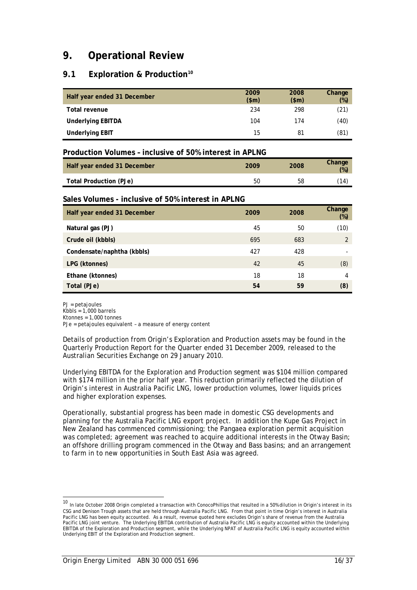# **9. Operational Review**

## 9.1 **Exploration & Production**<sup>10</sup>

| Half year ended 31 December | 2009<br>\$m\$ | 2008<br>\$m\$ | Change<br>$(\%)$ |
|-----------------------------|---------------|---------------|------------------|
| Total revenue               | 234           | 298           | (21)             |
| <b>Underlying EBITDA</b>    | 104           | 174           | (40)             |
| <b>Underlying EBIT</b>      | 15            | 81            | (81)             |

#### **Production Volumes – inclusive of 50% interest in APLNG**

| Half year ended 31 December | 2009 | 2008 | <b>Change</b><br>(% ) |
|-----------------------------|------|------|-----------------------|
| Total Production (PJe)      | 50   | 58   | $^{\prime}14$         |

#### **Sales Volumes - inclusive of 50% interest in APLNG**

| Half year ended 31 December | 2009 | 2008 | Change<br>$(\%)$ |
|-----------------------------|------|------|------------------|
| Natural gas (PJ)            | 45   | 50   | (10)             |
| Crude oil (kbbls)           | 695  | 683  | $\mathfrak{D}$   |
| Condensate/naphtha (kbbls)  | 427  | 428  |                  |
| LPG (ktonnes)               | 42   | 45   | (8)              |
| Ethane (ktonnes)            | 18   | 18   | 4                |
| Total (PJe)                 | 54   | 59   | (8)              |

PJ = petajoules

 $\overline{a}$ 

 $Kbbls = 1,000 \text{ barriers}$ 

 $K$ tonnes = 1,000 tonnes

PJe = petajoules equivalent – a measure of energy content

Details of production from Origin's Exploration and Production assets may be found in the Quarterly Production Report for the Quarter ended 31 December 2009, released to the Australian Securities Exchange on 29 January 2010.

Underlying EBITDA for the Exploration and Production segment was \$104 million compared with \$174 million in the prior half year. This reduction primarily reflected the dilution of Origin's interest in Australia Pacific LNG, lower production volumes, lower liquids prices and higher exploration expenses.

Operationally, substantial progress has been made in domestic CSG developments and planning for the Australia Pacific LNG export project. In addition the Kupe Gas Project in New Zealand has commenced commissioning; the Pangaea exploration permit acquisition was completed; agreement was reached to acquire additional interests in the Otway Basin; an offshore drilling program commenced in the Otway and Bass basins; and an arrangement to farm in to new opportunities in South East Asia was agreed.

<sup>10</sup> In late October 2008 Origin completed a transaction with ConocoPhillips that resulted in a 50% dilution in Origin's interest in its CSG and Denison Trough assets that are held through Australia Pacific LNG. From that point in time Origin's interest in Australia Pacific LNG has been equity accounted. As a result, revenue quoted here excludes Origin's share of revenue from the Australia Pacific LNG joint venture. The Underlying EBITDA contribution of Australia Pacific LNG is equity accounted within the Underlying EBITDA of the Exploration and Production segment, while the Underlying NPAT of Australia Pacific LNG is equity accounted within Underlying EBIT of the Exploration and Production segment.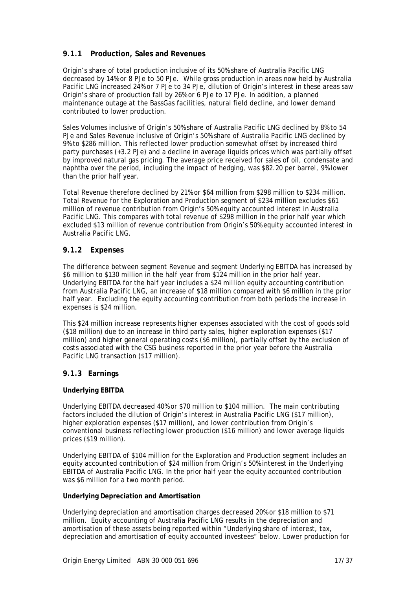## **9.1.1 Production, Sales and Revenues**

Origin's share of total production inclusive of its 50% share of Australia Pacific LNG decreased by 14% or 8 PJe to 50 PJe. While gross production in areas now held by Australia Pacific LNG increased 24% or 7 PJe to 34 PJe, dilution of Origin's interest in these areas saw Origin's share of production fall by 26% or 6 PJe to 17 PJe. In addition, a planned maintenance outage at the BassGas facilities, natural field decline, and lower demand contributed to lower production.

Sales Volumes inclusive of Origin's 50% share of Australia Pacific LNG declined by 8% to 54 PJe and Sales Revenue inclusive of Origin's 50% share of Australia Pacific LNG declined by 9% to \$286 million. This reflected lower production somewhat offset by increased third party purchases (+3.2 PJe) and a decline in average liquids prices which was partially offset by improved natural gas pricing. The average price received for sales of oil, condensate and naphtha over the period, including the impact of hedging, was \$82.20 per barrel, 9% lower than the prior half year.

Total Revenue therefore declined by 21% or \$64 million from \$298 million to \$234 million. Total Revenue for the Exploration and Production segment of \$234 million excludes \$61 million of revenue contribution from Origin's 50% equity accounted interest in Australia Pacific LNG. This compares with total revenue of \$298 million in the prior half year which excluded \$13 million of revenue contribution from Origin's 50% equity accounted interest in Australia Pacific LNG.

### **9.1.2 Expenses**

The difference between segment Revenue and segment Underlying EBITDA has increased by \$6 million to \$130 million in the half year from \$124 million in the prior half year. Underlying EBITDA for the half year includes a \$24 million equity accounting contribution from Australia Pacific LNG, an increase of \$18 million compared with \$6 million in the prior half year. Excluding the equity accounting contribution from both periods the increase in expenses is \$24 million.

This \$24 million increase represents higher expenses associated with the cost of goods sold (\$18 million) due to an increase in third party sales, higher exploration expenses (\$17 million) and higher general operating costs (\$6 million), partially offset by the exclusion of costs associated with the CSG business reported in the prior year before the Australia Pacific LNG transaction (\$17 million).

#### **9.1.3 Earnings**

#### **Underlying EBITDA**

Underlying EBITDA decreased 40% or \$70 million to \$104 million. The main contributing factors included the dilution of Origin's interest in Australia Pacific LNG (\$17 million), higher exploration expenses (\$17 million), and lower contribution from Origin's conventional business reflecting lower production (\$16 million) and lower average liquids prices (\$19 million).

Underlying EBITDA of \$104 million for the Exploration and Production segment includes an equity accounted contribution of \$24 million from Origin's 50% interest in the Underlying EBITDA of Australia Pacific LNG. In the prior half year the equity accounted contribution was \$6 million for a two month period.

#### **Underlying Depreciation and Amortisation**

Underlying depreciation and amortisation charges decreased 20% or \$18 million to \$71 million. Equity accounting of Australia Pacific LNG results in the depreciation and amortisation of these assets being reported within "Underlying share of interest, tax, depreciation and amortisation of equity accounted investees" below. Lower production for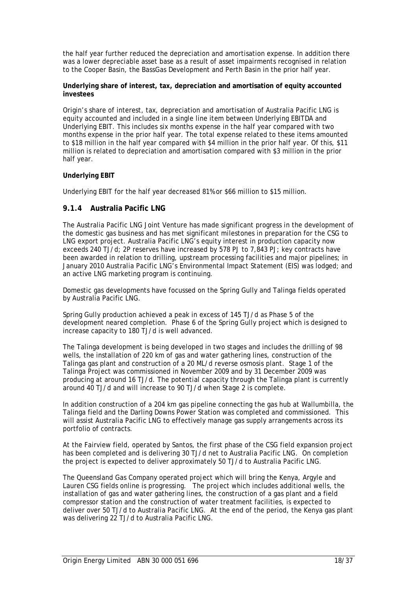the half year further reduced the depreciation and amortisation expense. In addition there was a lower depreciable asset base as a result of asset impairments recognised in relation to the Cooper Basin, the BassGas Development and Perth Basin in the prior half year.

#### **Underlying share of interest, tax, depreciation and amortisation of equity accounted investees**

Origin's share of interest, tax, depreciation and amortisation of Australia Pacific LNG is equity accounted and included in a single line item between Underlying EBITDA and Underlying EBIT. This includes six months expense in the half year compared with two months expense in the prior half year. The total expense related to these items amounted to \$18 million in the half year compared with \$4 million in the prior half year. Of this, \$11 million is related to depreciation and amortisation compared with \$3 million in the prior half year.

#### **Underlying EBIT**

Underlying EBIT for the half year decreased 81% or \$66 million to \$15 million.

#### **9.1.4 Australia Pacific LNG**

The Australia Pacific LNG Joint Venture has made significant progress in the development of the domestic gas business and has met significant milestones in preparation for the CSG to LNG export project. Australia Pacific LNG's equity interest in production capacity now exceeds 240 TJ/d; 2P reserves have increased by 578 PJ to 7,843 PJ; key contracts have been awarded in relation to drilling, upstream processing facilities and major pipelines; in January 2010 Australia Pacific LNG's Environmental Impact Statement (EIS) was lodged; and an active LNG marketing program is continuing.

Domestic gas developments have focussed on the Spring Gully and Talinga fields operated by Australia Pacific LNG.

Spring Gully production achieved a peak in excess of 145 TJ/d as Phase 5 of the development neared completion. Phase 6 of the Spring Gully project which is designed to increase capacity to 180 TJ/d is well advanced.

The Talinga development is being developed in two stages and includes the drilling of 98 wells, the installation of 220 km of gas and water gathering lines, construction of the Talinga gas plant and construction of a 20 ML/d reverse osmosis plant. Stage 1 of the Talinga Project was commissioned in November 2009 and by 31 December 2009 was producing at around 16 TJ/d. The potential capacity through the Talinga plant is currently around 40 TJ/d and will increase to 90 TJ/d when Stage 2 is complete.

In addition construction of a 204 km gas pipeline connecting the gas hub at Wallumbilla, the Talinga field and the Darling Downs Power Station was completed and commissioned. This will assist Australia Pacific LNG to effectively manage gas supply arrangements across its portfolio of contracts.

At the Fairview field, operated by Santos, the first phase of the CSG field expansion project has been completed and is delivering 30 TJ/d net to Australia Pacific LNG. On completion the project is expected to deliver approximately 50 TJ/d to Australia Pacific LNG.

The Queensland Gas Company operated project which will bring the Kenya, Argyle and Lauren CSG fields online is progressing. The project which includes additional wells, the installation of gas and water gathering lines, the construction of a gas plant and a field compressor station and the construction of water treatment facilities, is expected to deliver over 50 TJ/d to Australia Pacific LNG. At the end of the period, the Kenya gas plant was delivering 22 TJ/d to Australia Pacific LNG.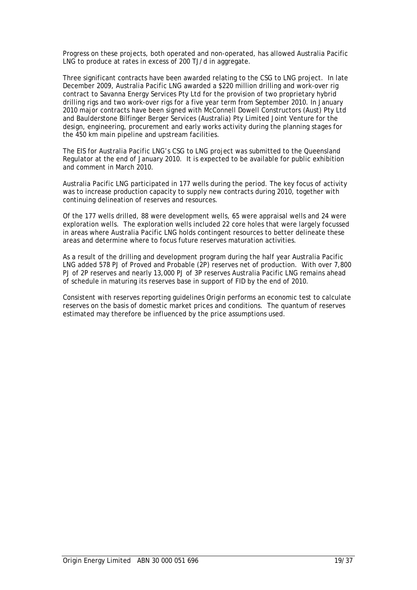Progress on these projects, both operated and non-operated, has allowed Australia Pacific LNG to produce at rates in excess of 200 TJ/d in aggregate.

Three significant contracts have been awarded relating to the CSG to LNG project. In late December 2009, Australia Pacific LNG awarded a \$220 million drilling and work-over rig contract to Savanna Energy Services Pty Ltd for the provision of two proprietary hybrid drilling rigs and two work-over rigs for a five year term from September 2010. In January 2010 major contracts have been signed with McConnell Dowell Constructors (Aust) Pty Ltd and Baulderstone Bilfinger Berger Services (Australia) Pty Limited Joint Venture for the design, engineering, procurement and early works activity during the planning stages for the 450 km main pipeline and upstream facilities.

The EIS for Australia Pacific LNG's CSG to LNG project was submitted to the Queensland Regulator at the end of January 2010. It is expected to be available for public exhibition and comment in March 2010.

Australia Pacific LNG participated in 177 wells during the period. The key focus of activity was to increase production capacity to supply new contracts during 2010, together with continuing delineation of reserves and resources.

Of the 177 wells drilled, 88 were development wells, 65 were appraisal wells and 24 were exploration wells. The exploration wells included 22 core holes that were largely focussed in areas where Australia Pacific LNG holds contingent resources to better delineate these areas and determine where to focus future reserves maturation activities.

As a result of the drilling and development program during the half year Australia Pacific LNG added 578 PJ of Proved and Probable (2P) reserves net of production. With over 7,800 PJ of 2P reserves and nearly 13,000 PJ of 3P reserves Australia Pacific LNG remains ahead of schedule in maturing its reserves base in support of FID by the end of 2010.

Consistent with reserves reporting guidelines Origin performs an economic test to calculate reserves on the basis of domestic market prices and conditions. The quantum of reserves estimated may therefore be influenced by the price assumptions used.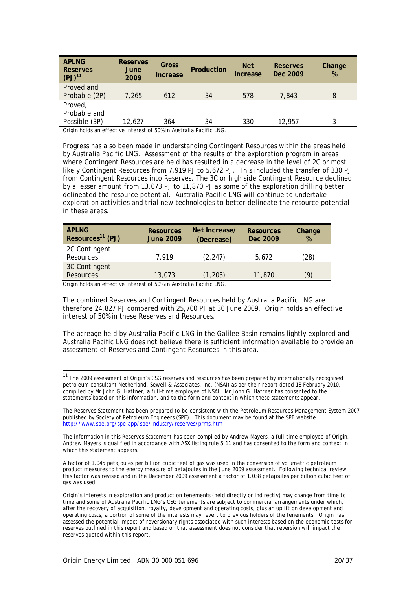| <b>APLNG</b><br>Reserves<br>$(PJ)^{11}$  | <b>Reserves</b><br>June<br>2009 | Gross<br>Increase | Production | <b>Net</b><br>Increase | Reserves<br>Dec 2009 | Change<br>$\%$ |
|------------------------------------------|---------------------------------|-------------------|------------|------------------------|----------------------|----------------|
| Proved and<br>Probable (2P)              | 7.265                           | 612               | 34         | 578                    | 7.843                | 8              |
| Proved,<br>Probable and<br>Possible (3P) | 12.627                          | 364               | 34         | 330                    | 12,957               |                |

Origin holds an effective interest of 50% in Australia Pacific LNG.

Progress has also been made in understanding Contingent Resources within the areas held by Australia Pacific LNG. Assessment of the results of the exploration program in areas where Contingent Resources are held has resulted in a decrease in the level of 2C or most likely Contingent Resources from 7,919 PJ to 5,672 PJ. This included the transfer of 330 PJ from Contingent Resources into Reserves. The 3C or high side Contingent Resource declined by a lesser amount from 13,073 PJ to 11,870 PJ as some of the exploration drilling better delineated the resource potential. Australia Pacific LNG will continue to undertake exploration activities and trial new technologies to better delineate the resource potential in these areas.

| <b>APLNG</b><br>Resources <sup>11</sup> (PJ) | <b>Resources</b><br><b>June 2009</b> | Net Increase/<br>(Decrease) | <b>Resources</b><br>Dec 2009 | Change<br>% |
|----------------------------------------------|--------------------------------------|-----------------------------|------------------------------|-------------|
| 2C Contingent<br>Resources                   | 7,919                                | (2, 247)                    | 5.672                        | (28)        |
| 3C Contingent<br><b>Resources</b>            | 13,073                               | (1, 203)                    | 11,870                       | (9)         |

Origin holds an effective interest of 50% in Australia Pacific LNG.

l

The combined Reserves and Contingent Resources held by Australia Pacific LNG are therefore 24,827 PJ compared with 25,700 PJ at 30 June 2009. Origin holds an effective interest of 50% in these Reserves and Resources.

The acreage held by Australia Pacific LNG in the Galilee Basin remains lightly explored and Australia Pacific LNG does not believe there is sufficient information available to provide an assessment of Reserves and Contingent Resources in this area.

<sup>&</sup>lt;sup>11</sup> The 2009 assessment of Origin's CSG reserves and resources has been prepared by internationally recognised petroleum consultant Netherland, Sewell & Associates, Inc. (NSAI) as per their report dated 18 February 2010, compiled by Mr John G. Hattner, a full-time employee of NSAI. Mr John G. Hattner has consented to the statements based on this information, and to the form and context in which these statements appear.

The Reserves Statement has been prepared to be consistent with the Petroleum Resources Management System 2007 published by Society of Petroleum Engineers (SPE). This document may be found at the SPE website http://www.spe.org/spe-app/spe/industry/reserves/prms.htm

The information in this Reserves Statement has been compiled by Andrew Mayers, a full-time employee of Origin. Andrew Mayers is qualified in accordance with ASX listing rule 5.11 and has consented to the form and context in which this statement appears.

A factor of 1.045 petajoules per billion cubic feet of gas was used in the conversion of volumetric petroleum product measures to the energy measure of petajoules in the June 2009 assessment. Following technical review this factor was revised and in the December 2009 assessment a factor of 1.038 petajoules per billion cubic feet of gas was used.

Origin's interests in exploration and production tenements (held directly or indirectly) may change from time to time and some of Australia Pacific LNG's CSG tenements are subject to commercial arrangements under which, after the recovery of acquisition, royalty, development and operating costs, plus an uplift on development and operating costs, a portion of some of the interests may revert to previous holders of the tenements. Origin has assessed the potential impact of reversionary rights associated with such interests based on the economic tests for reserves outlined in this report and based on that assessment does not consider that reversion will impact the reserves quoted within this report.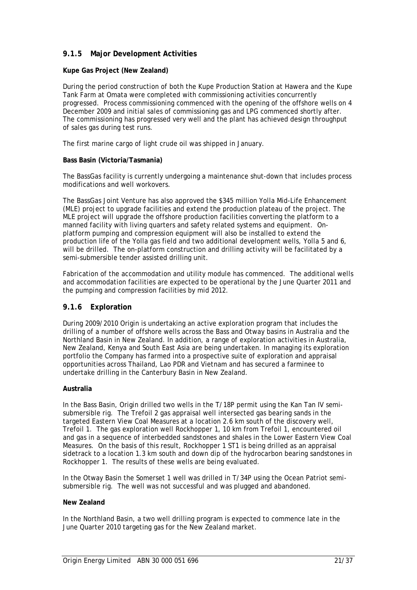### **9.1.5 Major Development Activities**

#### **Kupe Gas Project (New Zealand)**

During the period construction of both the Kupe Production Station at Hawera and the Kupe Tank Farm at Omata were completed with commissioning activities concurrently progressed. Process commissioning commenced with the opening of the offshore wells on 4 December 2009 and initial sales of commissioning gas and LPG commenced shortly after. The commissioning has progressed very well and the plant has achieved design throughput of sales gas during test runs.

The first marine cargo of light crude oil was shipped in January.

#### **Bass Basin (Victoria/Tasmania)**

The BassGas facility is currently undergoing a maintenance shut-down that includes process modifications and well workovers.

The BassGas Joint Venture has also approved the \$345 million Yolla Mid-Life Enhancement (MLE) project to upgrade facilities and extend the production plateau of the project. The MLE project will upgrade the offshore production facilities converting the platform to a manned facility with living quarters and safety related systems and equipment. Onplatform pumping and compression equipment will also be installed to extend the production life of the Yolla gas field and two additional development wells, Yolla 5 and 6, will be drilled. The on-platform construction and drilling activity will be facilitated by a semi-submersible tender assisted drilling unit.

Fabrication of the accommodation and utility module has commenced. The additional wells and accommodation facilities are expected to be operational by the June Quarter 2011 and the pumping and compression facilities by mid 2012.

#### **9.1.6 Exploration**

During 2009/2010 Origin is undertaking an active exploration program that includes the drilling of a number of offshore wells across the Bass and Otway basins in Australia and the Northland Basin in New Zealand. In addition, a range of exploration activities in Australia, New Zealand, Kenya and South East Asia are being undertaken. In managing its exploration portfolio the Company has farmed into a prospective suite of exploration and appraisal opportunities across Thailand, Lao PDR and Vietnam and has secured a farminee to undertake drilling in the Canterbury Basin in New Zealand.

#### **Australia**

In the Bass Basin, Origin drilled two wells in the T/18P permit using the Kan Tan IV semisubmersible rig. The Trefoil 2 gas appraisal well intersected gas bearing sands in the targeted Eastern View Coal Measures at a location 2.6 km south of the discovery well, Trefoil 1. The gas exploration well Rockhopper 1, 10 km from Trefoil 1, encountered oil and gas in a sequence of interbedded sandstones and shales in the Lower Eastern View Coal Measures. On the basis of this result, Rockhopper 1 ST1 is being drilled as an appraisal sidetrack to a location 1.3 km south and down dip of the hydrocarbon bearing sandstones in Rockhopper 1. The results of these wells are being evaluated.

In the Otway Basin the Somerset 1 well was drilled in T/34P using the Ocean Patriot semisubmersible rig. The well was not successful and was plugged and abandoned.

#### **New Zealand**

In the Northland Basin, a two well drilling program is expected to commence late in the June Quarter 2010 targeting gas for the New Zealand market.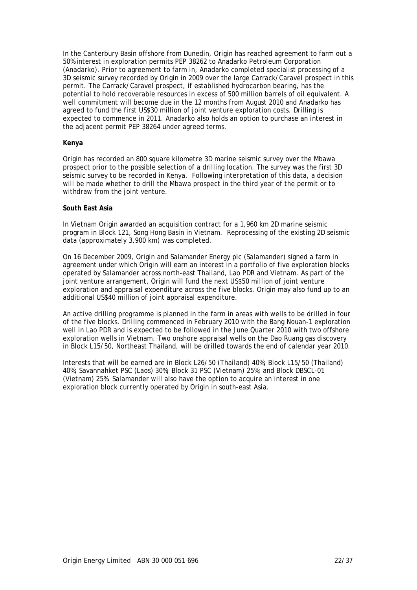In the Canterbury Basin offshore from Dunedin, Origin has reached agreement to farm out a 50% interest in exploration permits PEP 38262 to Anadarko Petroleum Corporation (Anadarko). Prior to agreement to farm in, Anadarko completed specialist processing of a 3D seismic survey recorded by Origin in 2009 over the large Carrack/Caravel prospect in this permit. The Carrack/Caravel prospect, if established hydrocarbon bearing, has the potential to hold recoverable resources in excess of 500 million barrels of oil equivalent. A well commitment will become due in the 12 months from August 2010 and Anadarko has agreed to fund the first US\$30 million of joint venture exploration costs. Drilling is expected to commence in 2011. Anadarko also holds an option to purchase an interest in the adjacent permit PEP 38264 under agreed terms.

#### **Kenya**

Origin has recorded an 800 square kilometre 3D marine seismic survey over the Mbawa prospect prior to the possible selection of a drilling location. The survey was the first 3D seismic survey to be recorded in Kenya. Following interpretation of this data, a decision will be made whether to drill the Mbawa prospect in the third year of the permit or to withdraw from the joint venture.

#### **South East Asia**

In Vietnam Origin awarded an acquisition contract for a 1,960 km 2D marine seismic program in Block 121, Song Hong Basin in Vietnam. Reprocessing of the existing 2D seismic data (approximately 3,900 km) was completed.

On 16 December 2009, Origin and Salamander Energy plc (Salamander) signed a farm in agreement under which Origin will earn an interest in a portfolio of five exploration blocks operated by Salamander across north-east Thailand, Lao PDR and Vietnam. As part of the joint venture arrangement, Origin will fund the next US\$50 million of joint venture exploration and appraisal expenditure across the five blocks. Origin may also fund up to an additional US\$40 million of joint appraisal expenditure.

An active drilling programme is planned in the farm in areas with wells to be drilled in four of the five blocks. Drilling commenced in February 2010 with the Bang Nouan-1 exploration well in Lao PDR and is expected to be followed in the June Quarter 2010 with two offshore exploration wells in Vietnam. Two onshore appraisal wells on the Dao Ruang gas discovery in Block L15/50, Northeast Thailand, will be drilled towards the end of calendar year 2010.

Interests that will be earned are in Block L26/50 (Thailand) 40%; Block L15/50 (Thailand) 40%; Savannahket PSC (Laos) 30%; Block 31 PSC (Vietnam) 25%; and Block DBSCL-01 (Vietnam) 25%. Salamander will also have the option to acquire an interest in one exploration block currently operated by Origin in south-east Asia.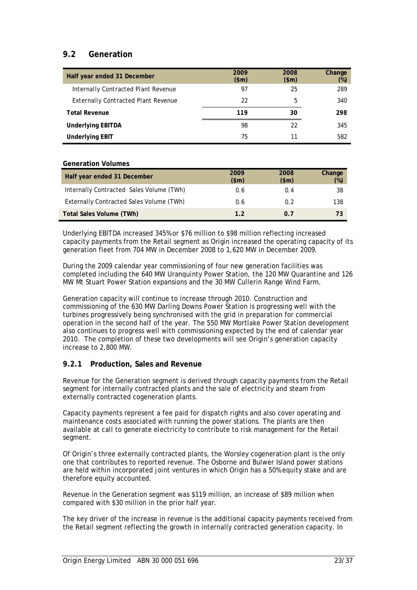## **9.2 Generation**

| Half year ended 31 December                | 2009<br>\$m\$ | 2008<br>\$m\$ | Change<br>$(\%)$ |
|--------------------------------------------|---------------|---------------|------------------|
| Internally Contracted Plant Revenue        | 97            | 25            | 289              |
| <b>Externally Contracted Plant Revenue</b> | 22            | 5             | 340              |
| <b>Total Revenue</b>                       | 119           | 30            | 298              |
| <b>Underlying EBITDA</b>                   | 98            | 22            | 345              |
| <b>Underlying EBIT</b>                     | 75            | 11            | 582              |

#### **Generation Volumes**

| Half year ended 31 December              | 2009<br>\$m\$ | 2008<br>\$m\$ | Change<br>$(\%)$ |
|------------------------------------------|---------------|---------------|------------------|
| Internally Contracted Sales Volume (TWh) | 0.6           | 0.4           | 38               |
| Externally Contracted Sales Volume (TWh) | 0.6           | 0.2           | 138              |
| Total Sales Volume (TWh)                 | 1.2           | 0 7           | 73               |

Underlying EBITDA increased 345% or \$76 million to \$98 million reflecting increased capacity payments from the Retail segment as Origin increased the operating capacity of its generation fleet from 704 MW in December 2008 to 1,620 MW in December 2009.

During the 2009 calendar year commissioning of four new generation facilities was completed including the 640 MW Uranquinty Power Station, the 120 MW Quarantine and 126 MW Mt Stuart Power Station expansions and the 30 MW Cullerin Range Wind Farm.

Generation capacity will continue to increase through 2010. Construction and commissioning of the 630 MW Darling Downs Power Station is progressing well with the turbines progressively being synchronised with the grid in preparation for commercial operation in the second half of the year. The 550 MW Mortlake Power Station development also continues to progress well with commissioning expected by the end of calendar year 2010. The completion of these two developments will see Origin's generation capacity increase to 2,800 MW.

#### **9.2.1 Production, Sales and Revenue**

Revenue for the Generation segment is derived through capacity payments from the Retail segment for internally contracted plants and the sale of electricity and steam from externally contracted cogeneration plants.

Capacity payments represent a fee paid for dispatch rights and also cover operating and maintenance costs associated with running the power stations. The plants are then available at call to generate electricity to contribute to risk management for the Retail segment.

Of Origin's three externally contracted plants, the Worsley cogeneration plant is the only one that contributes to reported revenue. The Osborne and Bulwer Island power stations are held within incorporated joint ventures in which Origin has a 50% equity stake and are therefore equity accounted.

Revenue in the Generation segment was \$119 million, an increase of \$89 million when compared with \$30 million in the prior half year.

The key driver of the increase in revenue is the additional capacity payments received from the Retail segment reflecting the growth in internally contracted generation capacity. In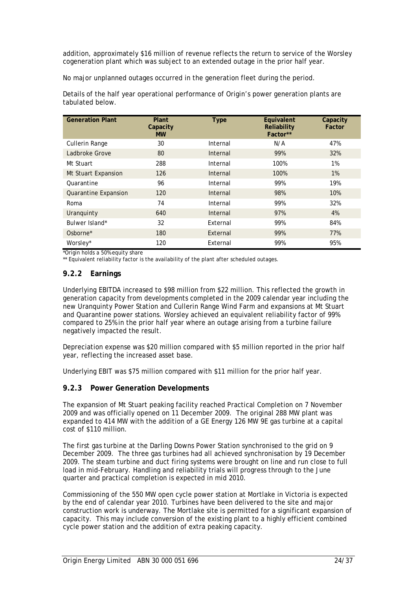addition, approximately \$16 million of revenue reflects the return to service of the Worsley cogeneration plant which was subject to an extended outage in the prior half year.

No major unplanned outages occurred in the generation fleet during the period.

Details of the half year operational performance of Origin's power generation plants are tabulated below.

| <b>Generation Plant</b>     | Plant<br>Capacity<br><b>MW</b> | <b>Type</b> | Equivalent<br>Reliability<br>Factor** | Capacity<br>Factor |
|-----------------------------|--------------------------------|-------------|---------------------------------------|--------------------|
| Cullerin Range              | 30                             | Internal    | N/A                                   | 47%                |
| Ladbroke Grove              | 80                             | Internal    | 99%                                   | 32%                |
| Mt Stuart                   | 288                            | Internal    | 100%                                  | 1%                 |
| Mt Stuart Expansion         | 126                            | Internal    | 100%                                  | $1\%$              |
| Quarantine                  | 96                             | Internal    | 99%                                   | 19%                |
| <b>Quarantine Expansion</b> | 120                            | Internal    | 98%                                   | 10%                |
| Roma                        | 74                             | Internal    | 99%                                   | 32%                |
| Uranguinty                  | 640                            | Internal    | 97%                                   | 4%                 |
| Bulwer Island*              | 32                             | External    | 99%                                   | 84%                |
| Osborne <sup>*</sup>        | 180                            | External    | 99%                                   | 77%                |
| Worsley*                    | 120                            | External    | 99%                                   | 95%                |

\*Origin holds a 50% equity share

\*\* Equivalent reliability factor is the availability of the plant after scheduled outages.

#### **9.2.2 Earnings**

Underlying EBITDA increased to \$98 million from \$22 million. This reflected the growth in generation capacity from developments completed in the 2009 calendar year including the new Uranquinty Power Station and Cullerin Range Wind Farm and expansions at Mt Stuart and Quarantine power stations. Worsley achieved an equivalent reliability factor of 99% compared to 25% in the prior half year where an outage arising from a turbine failure negatively impacted the result.

Depreciation expense was \$20 million compared with \$5 million reported in the prior half year, reflecting the increased asset base.

Underlying EBIT was \$75 million compared with \$11 million for the prior half year.

#### **9.2.3 Power Generation Developments**

The expansion of Mt Stuart peaking facility reached Practical Completion on 7 November 2009 and was officially opened on 11 December 2009. The original 288 MW plant was expanded to 414 MW with the addition of a GE Energy 126 MW 9E gas turbine at a capital cost of \$110 million.

The first gas turbine at the Darling Downs Power Station synchronised to the grid on 9 December 2009. The three gas turbines had all achieved synchronisation by 19 December 2009. The steam turbine and duct firing systems were brought on line and run close to full load in mid-February. Handling and reliability trials will progress through to the June quarter and practical completion is expected in mid 2010.

Commissioning of the 550 MW open cycle power station at Mortlake in Victoria is expected by the end of calendar year 2010. Turbines have been delivered to the site and major construction work is underway. The Mortlake site is permitted for a significant expansion of capacity. This may include conversion of the existing plant to a highly efficient combined cycle power station and the addition of extra peaking capacity.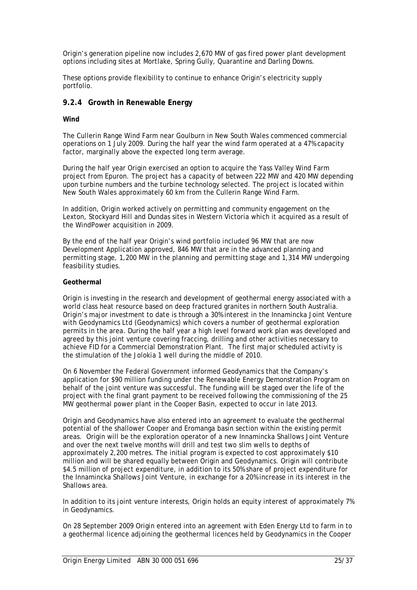Origin's generation pipeline now includes 2,670 MW of gas fired power plant development options including sites at Mortlake, Spring Gully, Quarantine and Darling Downs.

These options provide flexibility to continue to enhance Origin's electricity supply portfolio.

#### **9.2.4 Growth in Renewable Energy**

#### **Wind**

The Cullerin Range Wind Farm near Goulburn in New South Wales commenced commercial operations on 1 July 2009. During the half year the wind farm operated at a 47% capacity factor, marginally above the expected long term average.

During the half year Origin exercised an option to acquire the Yass Valley Wind Farm project from Epuron. The project has a capacity of between 222 MW and 420 MW depending upon turbine numbers and the turbine technology selected. The project is located within New South Wales approximately 60 km from the Cullerin Range Wind Farm.

In addition, Origin worked actively on permitting and community engagement on the Lexton, Stockyard Hill and Dundas sites in Western Victoria which it acquired as a result of the WindPower acquisition in 2009.

By the end of the half year Origin's wind portfolio included 96 MW that are now Development Application approved, 846 MW that are in the advanced planning and permitting stage, 1,200 MW in the planning and permitting stage and 1,314 MW undergoing feasibility studies.

#### **Geothermal**

Origin is investing in the research and development of geothermal energy associated with a world class heat resource based on deep fractured granites in northern South Australia. Origin's major investment to date is through a 30% interest in the Innamincka Joint Venture with Geodynamics Ltd (Geodynamics) which covers a number of geothermal exploration permits in the area. During the half year a high level forward work plan was developed and agreed by this joint venture covering fraccing, drilling and other activities necessary to achieve FID for a Commercial Demonstration Plant. The first major scheduled activity is the stimulation of the Jolokia 1 well during the middle of 2010.

On 6 November the Federal Government informed Geodynamics that the Company's application for \$90 million funding under the Renewable Energy Demonstration Program on behalf of the joint venture was successful. The funding will be staged over the life of the project with the final grant payment to be received following the commissioning of the 25 MW geothermal power plant in the Cooper Basin, expected to occur in late 2013.

Origin and Geodynamics have also entered into an agreement to evaluate the geothermal potential of the shallower Cooper and Eromanga basin section within the existing permit areas. Origin will be the exploration operator of a new Innamincka Shallows Joint Venture and over the next twelve months will drill and test two slim wells to depths of approximately 2,200 metres. The initial program is expected to cost approximately \$10 million and will be shared equally between Origin and Geodynamics. Origin will contribute \$4.5 million of project expenditure, in addition to its 50% share of project expenditure for the Innamincka Shallows Joint Venture, in exchange for a 20% increase in its interest in the Shallows area.

In addition to its joint venture interests, Origin holds an equity interest of approximately 7% in Geodynamics.

On 28 September 2009 Origin entered into an agreement with Eden Energy Ltd to farm in to a geothermal licence adjoining the geothermal licences held by Geodynamics in the Cooper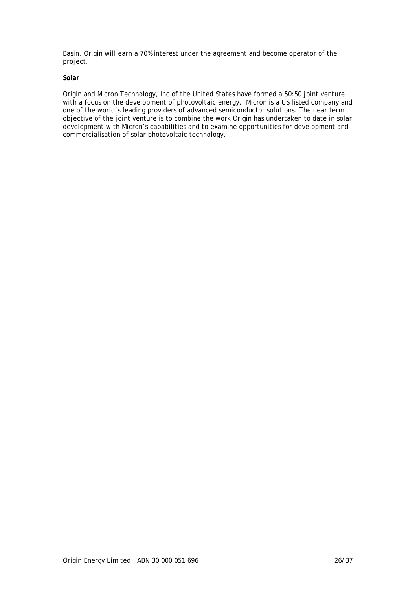Basin. Origin will earn a 70% interest under the agreement and become operator of the project.

#### **Solar**

Origin and Micron Technology, Inc of the United States have formed a 50:50 joint venture with a focus on the development of photovoltaic energy. Micron is a US listed company and one of the world's leading providers of advanced semiconductor solutions. The near term objective of the joint venture is to combine the work Origin has undertaken to date in solar development with Micron's capabilities and to examine opportunities for development and commercialisation of solar photovoltaic technology.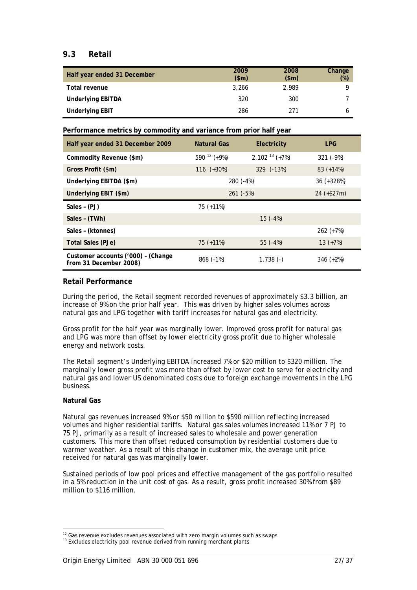### **9.3 Retail**

| Half year ended 31 December | 2009<br>\$m\$ | 2008<br>\$m\$ | Change<br>$(\%)$ |
|-----------------------------|---------------|---------------|------------------|
| Total revenue               | 3.266         | 2.989         | O                |
| <b>Underlying EBITDA</b>    | 320           | 300           |                  |
| <b>Underlying EBIT</b>      | 286           | 271           |                  |

**Performance metrics by commodity and variance from prior half year**

| Half year ended 31 December 2009   | Natural Gas      | Electricity      | <b>LPG</b>   |  |
|------------------------------------|------------------|------------------|--------------|--|
| Commodity Revenue (\$m)            | 590 $12 (+9%)$   | 2,102 $13 (+7%)$ | $321 (-9%)$  |  |
| Gross Profit (\$m)                 | 116 $(+30\%)$    | $329$ $(-13%)$   | 83 $(+14%)$  |  |
| Underlying EBITDA (\$m)            |                  | 280 (-4%)        | $36$ (+328%) |  |
| Underlying EBIT (\$m)              | $261$ ( $-5\%$ ) | $24$ (+\$27m)    |              |  |
| Sales - (PJ)                       | $75(+11%)$       |                  |              |  |
| Sales - (TWh)                      |                  | $15(-4%)$        |              |  |
| Sales - (ktonnes)                  |                  |                  | $262 (+7%)$  |  |
| Total Sales (PJe)                  | $75(+11%)$       | 55 $(-4%)$       | $13 (+7%)$   |  |
| Customer accounts ('000) - (Change |                  |                  |              |  |

#### **Retail Performance**

During the period, the Retail segment recorded revenues of approximately \$3.3 billion, an increase of 9% on the prior half year. This was driven by higher sales volumes across natural gas and LPG together with tariff increases for natural gas and electricity.

Gross profit for the half year was marginally lower. Improved gross profit for natural gas and LPG was more than offset by lower electricity gross profit due to higher wholesale energy and network costs.

The Retail segment's Underlying EBITDA increased 7% or \$20 million to \$320 million. The marginally lower gross profit was more than offset by lower cost to serve for electricity and natural gas and lower US denominated costs due to foreign exchange movements in the LPG business.

#### **Natural Gas**

l

Natural gas revenues increased 9% or \$50 million to \$590 million reflecting increased volumes and higher residential tariffs. Natural gas sales volumes increased 11% or 7 PJ to 75 PJ, primarily as a result of increased sales to wholesale and power generation customers. This more than offset reduced consumption by residential customers due to warmer weather. As a result of this change in customer mix, the average unit price received for natural gas was marginally lower.

Sustained periods of low pool prices and effective management of the gas portfolio resulted in a 5% reduction in the unit cost of gas. As a result, gross profit increased 30% from \$89 million to \$116 million.

 $12$  Gas revenue excludes revenues associated with zero margin volumes such as swaps

<sup>&</sup>lt;sup>13</sup> Excludes electricity pool revenue derived from running merchant plants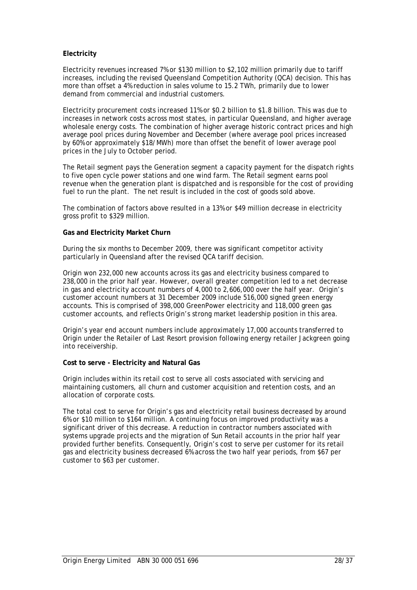#### **Electricity**

Electricity revenues increased 7% or \$130 million to \$2,102 million primarily due to tariff increases, including the revised Queensland Competition Authority (QCA) decision. This has more than offset a 4% reduction in sales volume to 15.2 TWh, primarily due to lower demand from commercial and industrial customers.

Electricity procurement costs increased 11% or \$0.2 billion to \$1.8 billion. This was due to increases in network costs across most states, in particular Queensland, and higher average wholesale energy costs. The combination of higher average historic contract prices and high average pool prices during November and December (where average pool prices increased by 60% or approximately \$18/MWh) more than offset the benefit of lower average pool prices in the July to October period.

The Retail segment pays the Generation segment a capacity payment for the dispatch rights to five open cycle power stations and one wind farm. The Retail segment earns pool revenue when the generation plant is dispatched and is responsible for the cost of providing fuel to run the plant. The net result is included in the cost of goods sold above.

The combination of factors above resulted in a 13% or \$49 million decrease in electricity gross profit to \$329 million.

#### **Gas and Electricity Market Churn**

During the six months to December 2009, there was significant competitor activity particularly in Queensland after the revised QCA tariff decision.

Origin won 232,000 new accounts across its gas and electricity business compared to 238,000 in the prior half year. However, overall greater competition led to a net decrease in gas and electricity account numbers of 4,000 to 2,606,000 over the half year. Origin's customer account numbers at 31 December 2009 include 516,000 signed green energy accounts. This is comprised of 398,000 GreenPower electricity and 118,000 green gas customer accounts, and reflects Origin's strong market leadership position in this area.

Origin's year end account numbers include approximately 17,000 accounts transferred to Origin under the Retailer of Last Resort provision following energy retailer Jackgreen going into receivership.

#### **Cost to serve - Electricity and Natural Gas**

Origin includes within its retail cost to serve all costs associated with servicing and maintaining customers, all churn and customer acquisition and retention costs, and an allocation of corporate costs.

The total cost to serve for Origin's gas and electricity retail business decreased by around 6% or \$10 million to \$164 million. A continuing focus on improved productivity was a significant driver of this decrease. A reduction in contractor numbers associated with systems upgrade projects and the migration of Sun Retail accounts in the prior half year provided further benefits. Consequently, Origin's cost to serve per customer for its retail gas and electricity business decreased 6% across the two half year periods, from \$67 per customer to \$63 per customer.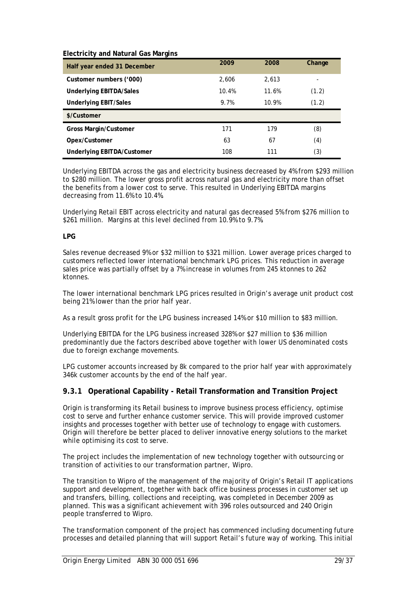| Half year ended 31 December       | 2009  | 2008  | Change |
|-----------------------------------|-------|-------|--------|
| Customer numbers ('000)           | 2,606 | 2,613 | ۰      |
| <b>Underlying EBITDA/Sales</b>    | 10.4% | 11.6% | (1.2)  |
| <b>Underlying EBIT/Sales</b>      | 9.7%  | 10.9% | (1.2)  |
| \$/Customer                       |       |       |        |
| <b>Gross Margin/Customer</b>      | 171   | 179   | (8)    |
| Opex/Customer                     | 63    | 67    | (4)    |
| <b>Underlying EBITDA/Customer</b> | 108   | 111   | (3)    |

**Electricity and Natural Gas Margins** 

Underlying EBITDA across the gas and electricity business decreased by 4% from \$293 million to \$280 million. The lower gross profit across natural gas and electricity more than offset the benefits from a lower cost to serve. This resulted in Underlying EBITDA margins decreasing from 11.6% to 10.4%.

Underlying Retail EBIT across electricity and natural gas decreased 5% from \$276 million to \$261 million. Margins at this level declined from 10.9% to 9.7%.

#### **LPG**

Sales revenue decreased 9% or \$32 million to \$321 million. Lower average prices charged to customers reflected lower international benchmark LPG prices. This reduction in average sales price was partially offset by a 7% increase in volumes from 245 ktonnes to 262 ktonnes.

The lower international benchmark LPG prices resulted in Origin's average unit product cost being 21% lower than the prior half year.

As a result gross profit for the LPG business increased 14% or \$10 million to \$83 million.

Underlying EBITDA for the LPG business increased 328% or \$27 million to \$36 million predominantly due the factors described above together with lower US denominated costs due to foreign exchange movements.

LPG customer accounts increased by 8k compared to the prior half year with approximately 346k customer accounts by the end of the half year.

#### **9.3.1 Operational Capability - Retail Transformation and Transition Project**

Origin is transforming its Retail business to improve business process efficiency, optimise cost to serve and further enhance customer service. This will provide improved customer insights and processes together with better use of technology to engage with customers. Origin will therefore be better placed to deliver innovative energy solutions to the market while optimising its cost to serve.

The project includes the implementation of new technology together with outsourcing or transition of activities to our transformation partner, Wipro.

The transition to Wipro of the management of the majority of Origin's Retail IT applications support and development, together with back office business processes in customer set up and transfers, billing, collections and receipting, was completed in December 2009 as planned. This was a significant achievement with 396 roles outsourced and 240 Origin people transferred to Wipro.

The transformation component of the project has commenced including documenting future processes and detailed planning that will support Retail's future way of working. This initial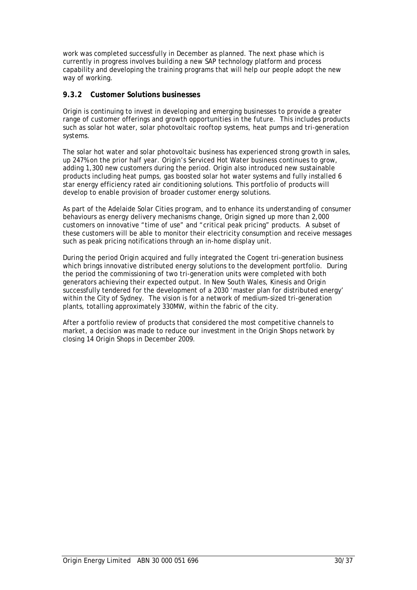work was completed successfully in December as planned. The next phase which is currently in progress involves building a new SAP technology platform and process capability and developing the training programs that will help our people adopt the new way of working.

#### **9.3.2 Customer Solutions businesses**

Origin is continuing to invest in developing and emerging businesses to provide a greater range of customer offerings and growth opportunities in the future. This includes products such as solar hot water, solar photovoltaic rooftop systems, heat pumps and tri-generation systems.

The solar hot water and solar photovoltaic business has experienced strong growth in sales, up 247% on the prior half year. Origin's Serviced Hot Water business continues to grow, adding 1,300 new customers during the period. Origin also introduced new sustainable products including heat pumps, gas boosted solar hot water systems and fully installed 6 star energy efficiency rated air conditioning solutions. This portfolio of products will develop to enable provision of broader customer energy solutions.

As part of the Adelaide Solar Cities program, and to enhance its understanding of consumer behaviours as energy delivery mechanisms change, Origin signed up more than 2,000 customers on innovative "time of use" and "critical peak pricing" products. A subset of these customers will be able to monitor their electricity consumption and receive messages such as peak pricing notifications through an in-home display unit.

During the period Origin acquired and fully integrated the Cogent tri-generation business which brings innovative distributed energy solutions to the development portfolio. During the period the commissioning of two tri-generation units were completed with both generators achieving their expected output. In New South Wales, Kinesis and Origin successfully tendered for the development of a 2030 'master plan for distributed energy' within the City of Sydney. The vision is for a network of medium-sized tri-generation plants, totalling approximately 330MW, within the fabric of the city.

After a portfolio review of products that considered the most competitive channels to market, a decision was made to reduce our investment in the Origin Shops network by closing 14 Origin Shops in December 2009.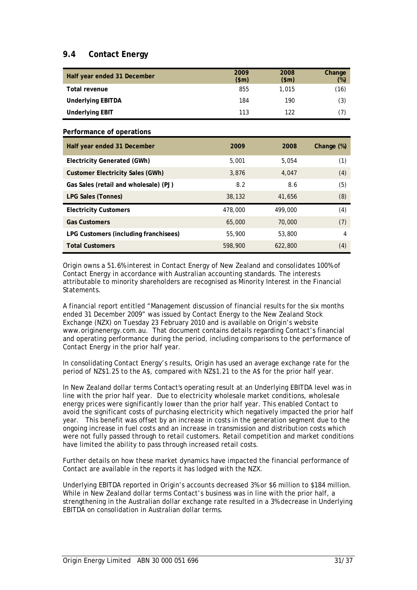## **9.4 Contact Energy**

| Half year ended 31 December | 2009<br>\$m\$ | 2008<br>\$m\$ | Change<br>$(\%)$ |
|-----------------------------|---------------|---------------|------------------|
| Total revenue               | 855           | 1.015         | (16)             |
| <b>Underlying EBITDA</b>    | 184           | 190           | (3)              |
| <b>Underlying EBIT</b>      | 113           | 122           | (7)              |

#### **Performance of operations**

| Half year ended 31 December           | 2009    | 2008    | Change (%) |
|---------------------------------------|---------|---------|------------|
| Electricity Generated (GWh)           | 5,001   | 5.054   | (1)        |
| Customer Electricity Sales (GWh)      | 3.876   | 4.047   | (4)        |
| Gas Sales (retail and wholesale) (PJ) | 8.2     | 8.6     | (5)        |
| LPG Sales (Tonnes)                    | 38,132  | 41,656  | (8)        |
| <b>Electricity Customers</b>          | 478,000 | 499,000 | (4)        |
| <b>Gas Customers</b>                  | 65,000  | 70,000  | (7)        |
| LPG Customers (including franchisees) | 55,900  | 53,800  | 4          |
| <b>Total Customers</b>                | 598,900 | 622,800 | (4)        |

Origin owns a 51.6% interest in Contact Energy of New Zealand and consolidates 100% of Contact Energy in accordance with Australian accounting standards. The interests attributable to minority shareholders are recognised as Minority Interest in the Financial Statements.

A financial report entitled "Management discussion of financial results for the six months ended 31 December 2009" was issued by Contact Energy to the New Zealand Stock Exchange (NZX) on Tuesday 23 February 2010 and is available on Origin's website www.originenergy.com.au. That document contains details regarding Contact's financial and operating performance during the period, including comparisons to the performance of Contact Energy in the prior half year.

In consolidating Contact Energy's results, Origin has used an average exchange rate for the period of NZ\$1.25 to the A\$, compared with NZ\$1.21 to the A\$ for the prior half year.

In New Zealand dollar terms Contact's operating result at an Underlying EBITDA level was in line with the prior half year. Due to electricity wholesale market conditions, wholesale energy prices were significantly lower than the prior half year. This enabled Contact to avoid the significant costs of purchasing electricity which negatively impacted the prior half year. This benefit was offset by an increase in costs in the generation segment due to the ongoing increase in fuel costs and an increase in transmission and distribution costs which were not fully passed through to retail customers. Retail competition and market conditions have limited the ability to pass through increased retail costs.

Further details on how these market dynamics have impacted the financial performance of Contact are available in the reports it has lodged with the NZX.

Underlying EBITDA reported in Origin's accounts decreased 3% or \$6 million to \$184 million. While in New Zealand dollar terms Contact's business was in line with the prior half, a strengthening in the Australian dollar exchange rate resulted in a 3% decrease in Underlying EBITDA on consolidation in Australian dollar terms.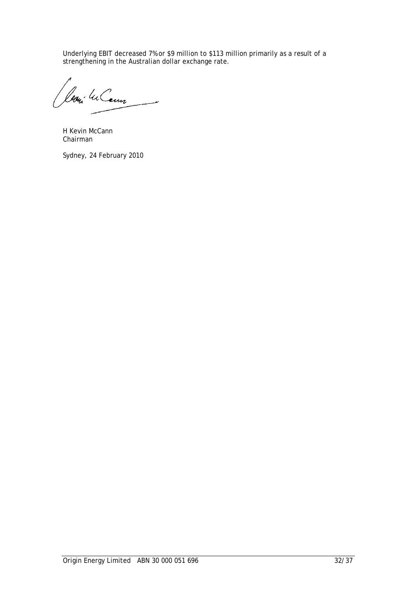Underlying EBIT decreased 7% or \$9 million to \$113 million primarily as a result of a strengthening in the Australian dollar exchange rate.

Leoni lu Cann سب

H Kevin McCann Chairman

Sydney, 24 February 2010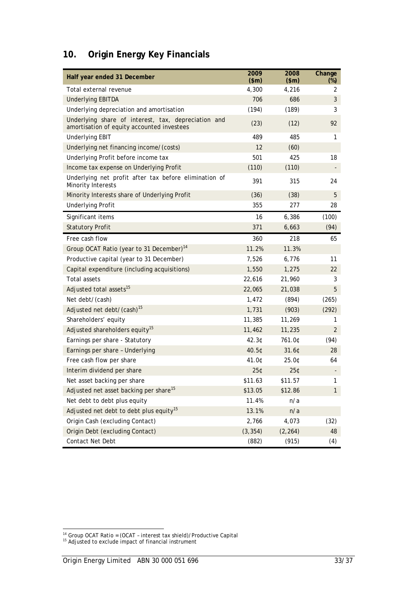# **10. Origin Energy Key Financials**

| Half year ended 31 December                                                                       | 2009<br>\$m\$ | 2008<br>\$m\$ | Change<br>$(\%)$ |
|---------------------------------------------------------------------------------------------------|---------------|---------------|------------------|
| Total external revenue                                                                            | 4,300         | 4,216         | 2                |
| <b>Underlying EBITDA</b>                                                                          | 706           | 686           | 3                |
| Underlying depreciation and amortisation                                                          | (194)         | (189)         | 3                |
| Underlying share of interest, tax, depreciation and<br>amortisation of equity accounted investees | (23)          | (12)          | 92               |
| <b>Underlying EBIT</b>                                                                            | 489           | 485           | 1                |
| Underlying net financing income/(costs)                                                           | 12            | (60)          |                  |
| Underlying Profit before income tax                                                               | 501           | 425           | 18               |
| Income tax expense on Underlying Profit                                                           | (110)         | (110)         |                  |
| Underlying net profit after tax before elimination of<br>Minority Interests                       | 391           | 315           | 24               |
| Minority Interests share of Underlying Profit                                                     | (36)          | (38)          | 5                |
| <b>Underlying Profit</b>                                                                          | 355           | 277           | 28               |
| Significant items                                                                                 | 16            | 6,386         | (100)            |
| <b>Statutory Profit</b>                                                                           | 371           | 6,663         | (94)             |
| Free cash flow                                                                                    | 360           | 218           | 65               |
| Group OCAT Ratio (year to 31 December) <sup>14</sup>                                              | 11.2%         | 11.3%         |                  |
| Productive capital (year to 31 December)                                                          | 7,526         | 6,776         | 11               |
| Capital expenditure (including acquisitions)                                                      | 1,550         | 1,275         | 22               |
| <b>Total assets</b>                                                                               | 22,616        | 21,960        | 3                |
| Adjusted total assets <sup>15</sup>                                                               | 22,065        | 21,038        | 5                |
| Net debt/(cash)                                                                                   | 1,472         | (894)         | (265)            |
| Adjusted net debt/(cash) <sup>15</sup>                                                            | 1,731         | (903)         | (292)            |
| Shareholders' equity                                                                              | 11,385        | 11,269        | 1                |
| Adjusted shareholders equity <sup>15</sup>                                                        | 11,462        | 11,235        | $\overline{2}$   |
| Earnings per share - Statutory                                                                    | 42.3¢         | 761.0¢        | (94)             |
| Earnings per share - Underlying                                                                   | 40.5¢         | 31.6¢         | 28               |
| Free cash flow per share                                                                          | 41.0¢         | 25.0¢         | 64               |
| Interim dividend per share                                                                        | 25¢           | 25¢           |                  |
| Net asset backing per share                                                                       | \$11.63       | \$11.57       | 1                |
| Adjusted net asset backing per share <sup>15</sup>                                                | \$13.05       | \$12.86       | $\mathbf{1}$     |
| Net debt to debt plus equity                                                                      | 11.4%         | n/a           |                  |
| Adjusted net debt to debt plus equity <sup>15</sup>                                               | 13.1%         | n/a           |                  |
| Origin Cash (excluding Contact)                                                                   | 2,766         | 4,073         | (32)             |
| Origin Debt (excluding Contact)                                                                   | (3, 354)      | (2, 264)      | 48               |
| Contact Net Debt                                                                                  | (882)         | (915)         | (4)              |

l

 $14$  Group OCAT Ratio = (OCAT - interest tax shield)/Productive Capital

 $15$  Adjusted to exclude impact of financial instrument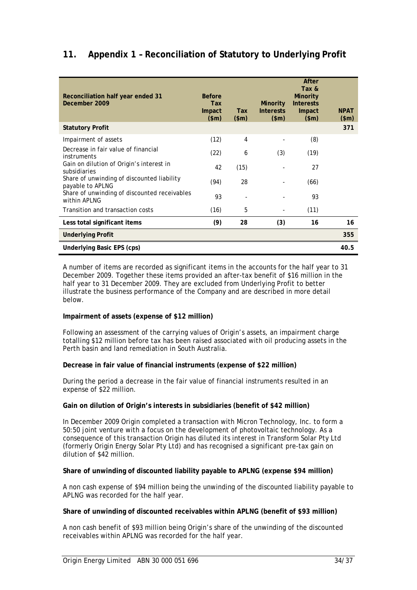## **11. Appendix 1 – Reconciliation of Statutory to Underlying Profit**

| Reconciliation half year ended 31<br>December 2009             | <b>Before</b><br>Tax<br>Impact<br>\$m\$ | <b>Tax</b><br>\$m\$ | <b>Minority</b><br><b>Interests</b><br>\$m\$ | After<br>Tax &<br><b>Minority</b><br><b>Interests</b><br>Impact<br>\$m\$ | <b>NPAT</b><br>\$m\$ |
|----------------------------------------------------------------|-----------------------------------------|---------------------|----------------------------------------------|--------------------------------------------------------------------------|----------------------|
| <b>Statutory Profit</b>                                        |                                         |                     |                                              |                                                                          | 371                  |
| Impairment of assets                                           | (12)                                    | 4                   |                                              | (8)                                                                      |                      |
| Decrease in fair value of financial<br>instruments             | (22)                                    | 6                   | (3)                                          | (19)                                                                     |                      |
| Gain on dilution of Origin's interest in<br>subsidiaries       | 42                                      | (15)                |                                              | 27                                                                       |                      |
| Share of unwinding of discounted liability<br>payable to APLNG | (94)                                    | 28                  |                                              | (66)                                                                     |                      |
| Share of unwinding of discounted receivables<br>within APLNG   | 93                                      |                     |                                              | 93                                                                       |                      |
| Transition and transaction costs                               | (16)                                    | 5                   |                                              | (11)                                                                     |                      |
| Less total significant items                                   | (9)                                     | 28                  | (3)                                          | 16                                                                       | 16                   |
| <b>Underlying Profit</b>                                       |                                         |                     |                                              |                                                                          | 355                  |
| Underlying Basic EPS (cps)                                     |                                         |                     |                                              |                                                                          | 40.5                 |

A number of items are recorded as significant items in the accounts for the half year to 31 December 2009. Together these items provided an after-tax benefit of \$16 million in the half year to 31 December 2009. They are excluded from Underlying Profit to better illustrate the business performance of the Company and are described in more detail below.

#### **Impairment of assets (expense of \$12 million)**

Following an assessment of the carrying values of Origin's assets, an impairment charge totalling \$12 million before tax has been raised associated with oil producing assets in the Perth basin and land remediation in South Australia.

#### **Decrease in fair value of financial instruments (expense of \$22 million)**

During the period a decrease in the fair value of financial instruments resulted in an expense of \$22 million.

#### **Gain on dilution of Origin's interests in subsidiaries (benefit of \$42 million)**

In December 2009 Origin completed a transaction with Micron Technology, Inc. to form a 50:50 joint venture with a focus on the development of photovoltaic technology. As a consequence of this transaction Origin has diluted its interest in Transform Solar Pty Ltd (formerly Origin Energy Solar Pty Ltd) and has recognised a significant pre-tax gain on dilution of \$42 million.

#### **Share of unwinding of discounted liability payable to APLNG (expense \$94 million)**

A non cash expense of \$94 million being the unwinding of the discounted liability payable to APLNG was recorded for the half year.

#### **Share of unwinding of discounted receivables within APLNG (benefit of \$93 million)**

A non cash benefit of \$93 million being Origin's share of the unwinding of the discounted receivables within APLNG was recorded for the half year.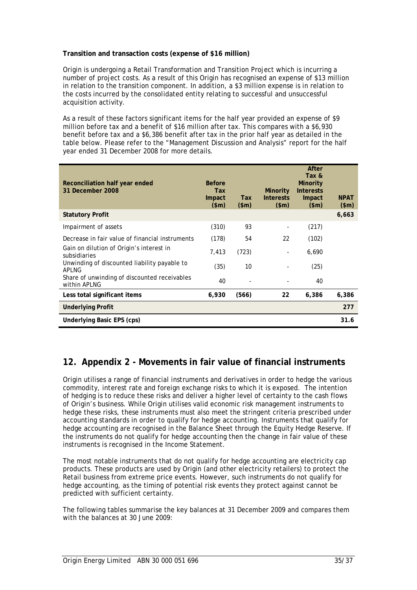#### **Transition and transaction costs (expense of \$16 million)**

Origin is undergoing a Retail Transformation and Transition Project which is incurring a number of project costs. As a result of this Origin has recognised an expense of \$13 million in relation to the transition component. In addition, a \$3 million expense is in relation to the costs incurred by the consolidated entity relating to successful and unsuccessful acquisition activity.

As a result of these factors significant items for the half year provided an expense of \$9 million before tax and a benefit of \$16 million after tax. This compares with a \$6,930 benefit before tax and a \$6,386 benefit after tax in the prior half year as detailed in the table below. Please refer to the "Management Discussion and Analysis" report for the half year ended 31 December 2008 for more details.

| Reconciliation half year ended<br>31 December 2008           | <b>Before</b><br><b>Tax</b><br>Impact<br>\$m\$ | <b>Tax</b><br>\$m\$ | <b>Minority</b><br><b>Interests</b><br>\$m\$ | After<br>Tax &<br><b>Minority</b><br><b>Interests</b><br>Impact<br>\$m\$ | <b>NPAT</b><br>\$m\$ |
|--------------------------------------------------------------|------------------------------------------------|---------------------|----------------------------------------------|--------------------------------------------------------------------------|----------------------|
| <b>Statutory Profit</b>                                      |                                                |                     |                                              |                                                                          | 6,663                |
| Impairment of assets                                         | (310)                                          | 93                  |                                              | (217)                                                                    |                      |
| Decrease in fair value of financial instruments              | (178)                                          | 54                  | 22                                           | (102)                                                                    |                      |
| Gain on dilution of Origin's interest in<br>subsidiaries     | 7,413                                          | (723)               |                                              | 6,690                                                                    |                      |
| Unwinding of discounted liability payable to<br><b>APLNG</b> | (35)                                           | 10                  |                                              | (25)                                                                     |                      |
| Share of unwinding of discounted receivables<br>within APLNG | 40                                             |                     |                                              | 40                                                                       |                      |
| Less total significant items                                 | 6,930                                          | (566)               | 22                                           | 6,386                                                                    | 6,386                |
| <b>Underlying Profit</b>                                     |                                                |                     |                                              |                                                                          | 277                  |
| Underlying Basic EPS (cps)                                   |                                                |                     |                                              |                                                                          | 31.6                 |

## **12. Appendix 2 - Movements in fair value of financial instruments**

Origin utilises a range of financial instruments and derivatives in order to hedge the various commodity, interest rate and foreign exchange risks to which it is exposed. The intention of hedging is to reduce these risks and deliver a higher level of certainty to the cash flows of Origin's business. While Origin utilises valid economic risk management instruments to hedge these risks, these instruments must also meet the stringent criteria prescribed under accounting standards in order to qualify for hedge accounting. Instruments that qualify for hedge accounting are recognised in the Balance Sheet through the Equity Hedge Reserve. If the instruments do not qualify for hedge accounting then the change in fair value of these instruments is recognised in the Income Statement.

The most notable instruments that do not qualify for hedge accounting are electricity cap products. These products are used by Origin (and other electricity retailers) to protect the Retail business from extreme price events. However, such instruments do not qualify for hedge accounting, as the timing of potential risk events they protect against cannot be predicted with sufficient certainty.

The following tables summarise the key balances at 31 December 2009 and compares them with the balances at 30 June 2009: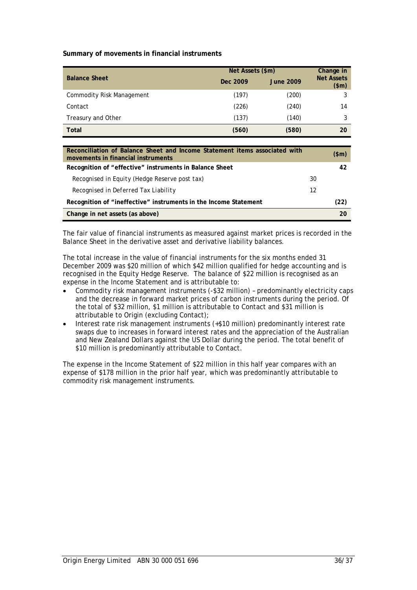**Summary of movements in financial instruments** 

| <b>Balance Sheet</b>             | Net Assets (\$m) | Change in        |                            |
|----------------------------------|------------------|------------------|----------------------------|
|                                  | Dec 2009         | <b>June 2009</b> | <b>Net Assets</b><br>\$m\$ |
| <b>Commodity Risk Management</b> | (197)            | (200)            | 3                          |
| Contact                          | (226)            | (240)            | 14                         |
| Treasury and Other               | (137)            | (140)            |                            |
| Total                            | (560)            | (580)            | 20                         |

| Reconciliation of Balance Sheet and Income Statement items associated with<br>movements in financial instruments |    | (\$m) |
|------------------------------------------------------------------------------------------------------------------|----|-------|
| Recognition of "effective" instruments in Balance Sheet                                                          |    | 42    |
| Recognised in Equity (Hedge Reserve post tax)                                                                    | 30 |       |
| Recognised in Deferred Tax Liability                                                                             | 12 |       |
| Recognition of "ineffective" instruments in the Income Statement                                                 |    | (22)  |
| Change in net assets (as above)                                                                                  |    | 20    |

The fair value of financial instruments as measured against market prices is recorded in the Balance Sheet in the derivative asset and derivative liability balances.

The total increase in the value of financial instruments for the six months ended 31 December 2009 was \$20 million of which \$42 million qualified for hedge accounting and is recognised in the Equity Hedge Reserve. The balance of \$22 million is recognised as an expense in the Income Statement and is attributable to:

- Commodity risk management instruments (-\$32 million) predominantly electricity caps and the decrease in forward market prices of carbon instruments during the period. Of the total of \$32 million, \$1 million is attributable to Contact and \$31 million is attributable to Origin (excluding Contact);
- Interest rate risk management instruments (+\$10 million) predominantly interest rate swaps due to increases in forward interest rates and the appreciation of the Australian and New Zealand Dollars against the US Dollar during the period. The total benefit of \$10 million is predominantly attributable to Contact.

The expense in the Income Statement of \$22 million in this half year compares with an expense of \$178 million in the prior half year, which was predominantly attributable to commodity risk management instruments.